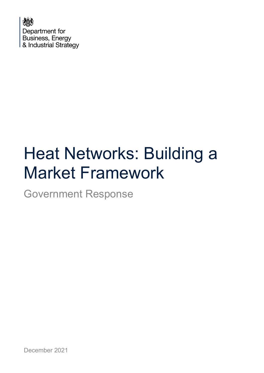

# Heat Networks: Building a Market Framework

Government Response

December 2021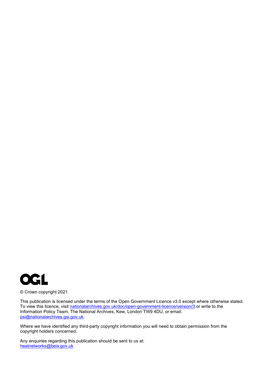

© Crown copyright 2021

This publication is licensed under the terms of the Open Government Licence v3.0 except where otherwise stated. To view this licence, visit [nationalarchives.gov.uk/doc/open-government-licence/version/3](http://nationalarchives.gov.uk/doc/open-government-licence/version/3/) or write to the Information Policy Team, The National Archives, Kew, London TW9 4DU, or email: [psi@nationalarchives.gsi.gov.uk.](mailto:psi@nationalarchives.gsi.gov.uk)

Where we have identified any third-party copyright information you will need to obtain permission from the copyright holders concerned.

Any enquiries regarding this publication should be sent to us at: [heatnetworks@beis.gov.uk](mailto:heatnetworks@beis.gov.uk)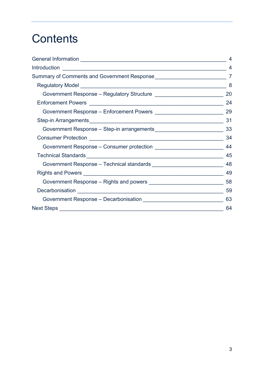## **Contents**

|                                                                                 | $\overline{4}$ |
|---------------------------------------------------------------------------------|----------------|
| Summary of Comments and Government Response___________________________________7 |                |
|                                                                                 | 8              |
|                                                                                 | 20             |
|                                                                                 | 24             |
|                                                                                 |                |
|                                                                                 | 31             |
|                                                                                 |                |
|                                                                                 | 34             |
|                                                                                 | 44             |
|                                                                                 | 45             |
| Government Response - Technical standards __________________________________ 48 |                |
|                                                                                 | 49             |
|                                                                                 |                |
|                                                                                 | 59             |
|                                                                                 | 63             |
|                                                                                 | 64             |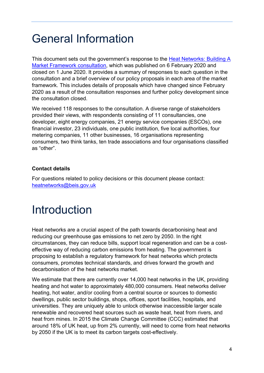## <span id="page-3-0"></span>General Information

This document sets out the government's response to the [Heat Networks: Building A](https://www.gov.uk/government/consultations/heat-networks-building-a-market-framework)  [Market Framework](https://www.gov.uk/government/consultations/heat-networks-building-a-market-framework) consultation, which was published on 6 February 2020 and closed on 1 June 2020. It provides a summary of responses to each question in the consultation and a brief overview of our policy proposals in each area of the market framework. This includes details of proposals which have changed since February 2020 as a result of the consultation responses and further policy development since the consultation closed.

We received 118 responses to the consultation. A diverse range of stakeholders provided their views, with respondents consisting of 11 consultancies, one developer, eight energy companies, 21 energy service companies (ESCOs), one financial investor, 23 individuals, one public institution, five local authorities, four metering companies, 11 other businesses, 16 organisations representing consumers, two think tanks, ten trade associations and four organisations classified as "other".

#### **Contact details**

For questions related to policy decisions or this document please contact: [heatnetworks@beis.gov.uk](mailto:heatnetworks@beis.gov.uk)

## <span id="page-3-1"></span>Introduction

Heat networks are a crucial aspect of the path towards decarbonising heat and reducing our greenhouse gas emissions to net zero by 2050. In the right circumstances, they can reduce bills, support local regeneration and can be a costeffective way of reducing carbon emissions from heating. The government is proposing to establish a regulatory framework for heat networks which protects consumers, promotes technical standards, and drives forward the growth and decarbonisation of the heat networks market.

We estimate that there are currently over 14,000 heat networks in the UK, providing heating and hot water to approximately 480,000 consumers. Heat networks deliver heating, hot water, and/or cooling from a central source or sources to domestic dwellings, public sector buildings, shops, offices, sport facilities, hospitals, and universities. They are uniquely able to unlock otherwise inaccessible larger scale renewable and recovered heat sources such as waste heat, heat from rivers, and heat from mines. In 2015 the Climate Change Committee (CCC) estimated that around 18% of UK heat, up from 2% currently, will need to come from heat networks by 2050 if the UK is to meet its carbon targets cost-effectively.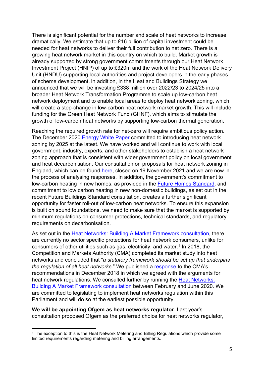There is significant potential for the number and scale of heat networks to increase dramatically. We estimate that up to £16 billion of capital investment could be needed for heat networks to deliver their full contribution to net zero. There is a growing heat network market in this country on which to build. Market growth is already supported by strong government commitments through our Heat Network Investment Project (HNIP) of up to £320m and the work of the Heat Network Delivery Unit (HNDU) supporting local authorities and project developers in the early phases of scheme development. In addition, in the Heat and Buildings Strategy we announced that we will be investing £338 million over 2022/23 to 2024/25 into a broader Heat Network Transformation Programme to scale up low-carbon heat network deployment and to enable local areas to deploy heat network zoning, which will create a step-change in low-carbon heat network market growth. This will include funding for the Green Heat Network Fund (GHNF), which aims to stimulate the growth of low-carbon heat networks by supporting low-carbon thermal generation.

Reaching the required growth rate for net-zero will require ambitious policy action. The December 2020 [Energy White Paper](https://www.gov.uk/government/publications/energy-white-paper-powering-our-net-zero-future) committed to introducing heat network zoning by 2025 at the latest. We have worked and will continue to work with local government, industry, experts, and other stakeholders to establish a heat network zoning approach that is consistent with wider government policy on local government and heat decarbonisation. Our consultation on proposals for heat network zoning in England, which can be found [here,](https://www.gov.uk/government/consultations/proposals-for-heat-network-zoning) closed on 19 November 2021 and we are now in the process of analysing responses. In addition, the government's commitment to low-carbon heating in new homes, as provided in the [Future Homes Standard,](https://www.gov.uk/government/consultations/the-future-homes-standard-changes-to-part-l-and-part-f-of-the-building-regulations-for-new-dwellings) and commitment to low carbon heating in new non-domestic buildings, as set out in the recent Future Buildings Standard consultation, creates a further significant opportunity for faster roll-out of low-carbon heat networks. To ensure this expansion is built on sound foundations, we need to make sure that the market is supported by minimum regulations on consumer protections, technical standards, and regulatory requirements on decarbonisation.

As set out in the Heat Networks: Building A [Market Framework consultation,](https://www.gov.uk/government/consultations/heat-networks-building-a-market-framework) there are currently no sector specific protections for heat network consumers, unlike for consumers of other utilities such as gas, electricity, and water.<sup>[1](#page-4-0)</sup> In 2018, the Competition and Markets Authority (CMA) completed its market study into heat networks and concluded that "*a statutory framework should be set up that underpins the regulation of all heat networks*." We published a [response](https://www.gov.uk/government/publications/heat-networks-developing-a-market-framework) to the CMA's recommendations in December 2018 in which we agreed with the arguments for heat network regulations. We consulted further by running the [Heat Networks:](https://www.gov.uk/government/consultations/heat-networks-building-a-market-framework)  Building A [Market Framework consultation](https://www.gov.uk/government/consultations/heat-networks-building-a-market-framework) between February and June 2020. We are committed to legislating to implement heat networks regulation within this Parliament and will do so at the earliest possible opportunity.

**We will be appointing Ofgem as heat networks regulator**. Last year's consultation proposed Ofgem as the preferred choice for heat networks regulator,

<span id="page-4-0"></span><sup>1</sup> The exception to this is the Heat Network Metering and Billing Regulations which provide some limited requirements regarding metering and billing arrangements.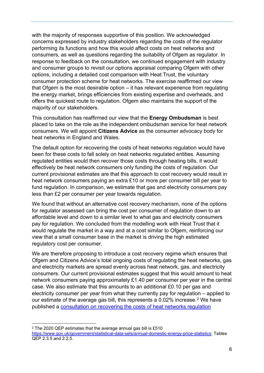with the majority of responses supportive of this position. We acknowledged concerns expressed by industry stakeholders regarding the costs of the regulator performing its functions and how this would affect costs on heat networks and consumers, as well as questions regarding the suitability of Ofgem as regulator. In response to feedback on the consultation, we continued engagement with industry and consumer groups to revisit our options appraisal comparing Ofgem with other options, including a detailed cost comparison with Heat Trust, the voluntary consumer protection scheme for heat networks. The exercise reaffirmed our view that Ofgem is the most desirable option – it has relevant experience from regulating the energy market, brings efficiencies from existing expertise and overheads, and offers the quickest route to regulation. Ofgem also maintains the support of the majority of our stakeholders.

This consultation has reaffirmed our view that the **Energy Ombudsman** is best placed to take on the role as the independent ombudsman service for heat network consumers. We will appoint **Citizens Advice** as the consumer advocacy body for heat networks in England and Wales.

The default option for recovering the costs of heat networks regulation would have been for these costs to fall solely on heat networks regulated entities. Assuming regulated entities would then recover those costs through heating bills, it would effectively be heat network consumers only funding the costs of regulation. Our current provisional estimates are that this approach to cost recovery would result in heat network consumers paying an extra £10 or more per consumer bill per year to fund regulation. In comparison, we estimate that gas and electricity consumers pay less than £2 per consumer per year towards regulation.

We found that without an alternative cost recovery mechanism, none of the options for regulator assessed can bring the cost per consumer of regulation down to an affordable level and down to a similar level to what gas and electricity consumers pay for regulation. We concluded from the modelling work with Heat Trust that it would regulate the market in a way and at a cost similar to Ofgem, reinforcing our view that a small consumer base in the market is driving the high estimated regulatory cost per consumer.

We are therefore proposing to introduce a cost recovery regime which ensures that Ofgem and Citizens Advice's total ongoing costs of regulating the heat networks, gas and electricity markets are spread evenly across heat network, gas, and electricity consumers. Our current provisional estimates suggest that this would amount to heat network consumers paying approximately £1.40 per consumer per year in the central case. We also estimate that this amounts to an additional £0.10 per gas and electricity consumer per year from what they currently pay for regulation – applied to our estimate of the average gas bill, this represents a 0.02% increase. [2](#page-5-0) We have published a **consultation on recovering [the costs of heat networks regulation](https://www.gov.uk/government/consultations/recovering-the-costs-of-heat-networks-regulation)** 

<span id="page-5-0"></span><sup>2</sup> The 2020 QEP estimates that the average annual gas bill is £510 [https://www.gov.uk/government/statistical-data-sets/annual-domestic-energy-price-statistics;](https://www.gov.uk/government/statistical-data-sets/annual-domestic-energy-price-statistics) Tables QEP 2.3.5 and 2.2.5.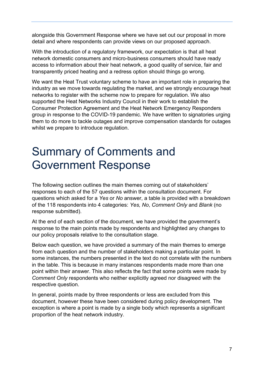alongside this Government Response where we have set out our proposal in more detail and where respondents can provide views on our proposed approach.

With the introduction of a regulatory framework, our expectation is that all heat network domestic consumers and micro-business consumers should have ready access to information about their heat network, a good quality of service, fair and transparently priced heating and a redress option should things go wrong.

We want the Heat Trust voluntary scheme to have an important role in preparing the industry as we move towards regulating the market, and we strongly encourage heat networks to register with the scheme now to prepare for regulation. We also supported the Heat Networks Industry Council in their work to establish the Consumer Protection Agreement and the Heat Network Emergency Responders group in response to the COVID-19 pandemic. We have written to signatories urging them to do more to tackle outages and improve compensation standards for outages whilst we prepare to introduce regulation.

## <span id="page-6-0"></span>Summary of Comments and Government Response

The following section outlines the main themes coming out of stakeholders' responses to each of the 57 questions within the consultation document. For questions which asked for a *Yes* or *No* answer, a table is provided with a breakdown of the 118 respondents into 4 categories: *Yes, No*, *Comment Only* and *Blank* (no response submitted).

At the end of each section of the document, we have provided the government's response to the main points made by respondents and highlighted any changes to our policy proposals relative to the consultation stage.

Below each question, we have provided a summary of the main themes to emerge from each question and the number of stakeholders making a particular point. In some instances, the numbers presented in the text do not correlate with the numbers in the table. This is because in many instances respondents made more than one point within their answer. This also reflects the fact that some points were made by *Comment Only* respondents who neither explicitly agreed nor disagreed with the respective question.

In general, points made by three respondents or less are excluded from this document, however these have been considered during policy development. The exception is where a point is made by a single body which represents a significant proportion of the heat network industry.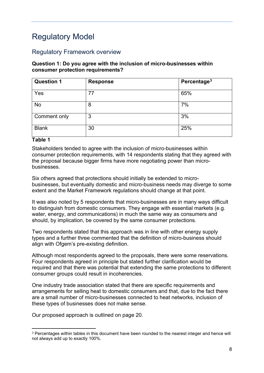## <span id="page-7-0"></span>Regulatory Model

#### Regulatory Framework overview

#### **Question 1: Do you agree with the inclusion of micro-businesses within consumer protection requirements?**

| <b>Question 1</b> | <b>Response</b> | Percentage <sup>3</sup> |
|-------------------|-----------------|-------------------------|
| Yes               | 77              | 65%                     |
| No                | 8               | 7%                      |
| Comment only      | 3               | 3%                      |
| <b>Blank</b>      | 30              | 25%                     |

#### **Table 1**

Stakeholders tended to agree with the inclusion of micro-businesses within consumer protection requirements, with 14 respondents stating that they agreed with the proposal because bigger firms have more negotiating power than microbusinesses.

Six others agreed that protections should initially be extended to microbusinesses, but eventually domestic and micro-business needs may diverge to some extent and the Market Framework regulations should change at that point.

It was also noted by 5 respondents that micro-businesses are in many ways difficult to distinguish from domestic consumers. They engage with essential markets (e.g. water, energy, and communications) in much the same way as consumers and should, by implication, be covered by the same consumer protections.

Two respondents stated that this approach was in line with other energy supply types and a further three commented that the definition of micro-business should align with Ofgem's pre-existing definition.

Although most respondents agreed to the proposals, there were some reservations. Four respondents agreed in principle but stated further clarification would be required and that there was potential that extending the same protections to different consumer groups could result in incoherencies.

One industry trade association stated that there are specific requirements and arrangements for selling heat to domestic consumers and that, due to the fact there are a small number of micro-businesses connected to heat networks, inclusion of these types of businesses does not make sense.

<span id="page-7-1"></span><sup>3</sup> Percentages within tables in this document have been rounded to the nearest integer and hence will not always add up to exactly 100%.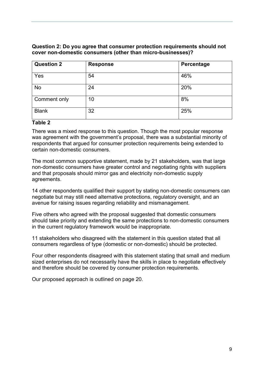#### **Question 2: Do you agree that consumer protection requirements should not cover non-domestic consumers (other than micro-businesses)?**

| <b>Question 2</b> | <b>Response</b> | Percentage |
|-------------------|-----------------|------------|
| Yes               | 54              | 46%        |
| <b>No</b>         | 24              | 20%        |
| Comment only      | 10              | 8%         |
| <b>Blank</b>      | 32              | 25%        |

#### **Table 2**

There was a mixed response to this question. Though the most popular response was agreement with the government's proposal, there was a substantial minority of respondents that argued for consumer protection requirements being extended to certain non-domestic consumers.

The most common supportive statement, made by 21 stakeholders, was that large non-domestic consumers have greater control and negotiating rights with suppliers and that proposals should mirror gas and electricity non-domestic supply agreements.

14 other respondents qualified their support by stating non-domestic consumers can negotiate but may still need alternative protections, regulatory oversight, and an avenue for raising issues regarding reliability and mismanagement.

Five others who agreed with the proposal suggested that domestic consumers should take priority and extending the same protections to non-domestic consumers in the current regulatory framework would be inappropriate.

11 stakeholders who disagreed with the statement in this question stated that all consumers regardless of type (domestic or non-domestic) should be protected.

Four other respondents disagreed with this statement stating that small and medium sized enterprises do not necessarily have the skills in place to negotiate effectively and therefore should be covered by consumer protection requirements.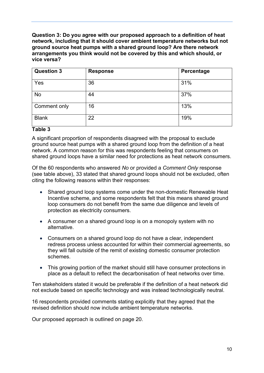**Question 3: Do you agree with our proposed approach to a definition of heat network, including that it should cover ambient temperature networks but not ground source heat pumps with a shared ground loop? Are there network arrangements you think would not be covered by this and which should, or vice versa?**

| <b>Question 3</b> | <b>Response</b> | Percentage |
|-------------------|-----------------|------------|
| Yes               | 36              | 31%        |
| <b>No</b>         | 44              | 37%        |
| Comment only      | 16              | 13%        |
| <b>Blank</b>      | 22              | 19%        |

#### **Table 3**

A significant proportion of respondents disagreed with the proposal to exclude ground source heat pumps with a shared ground loop from the definition of a heat network. A common reason for this was respondents feeling that consumers on shared ground loops have a similar need for protections as heat network consumers.

Of the 60 respondents who answered *No* or provided a *Comment Only* response (see table above), 33 stated that shared ground loops should not be excluded, often citing the following reasons within their responses:

- Shared ground loop systems come under the non-domestic Renewable Heat Incentive scheme, and some respondents felt that this means shared ground loop consumers do not benefit from the same due diligence and levels of protection as electricity consumers.
- A consumer on a shared ground loop is on a monopoly system with no alternative.
- Consumers on a shared ground loop do not have a clear, independent redress process unless accounted for within their commercial agreements, so they will fall outside of the remit of existing domestic consumer protection schemes.
- This growing portion of the market should still have consumer protections in place as a default to reflect the decarbonisation of heat networks over time.

Ten stakeholders stated it would be preferable if the definition of a heat network did not exclude based on specific technology and was instead technologically neutral.

16 respondents provided comments stating explicitly that they agreed that the revised definition should now include ambient temperature networks.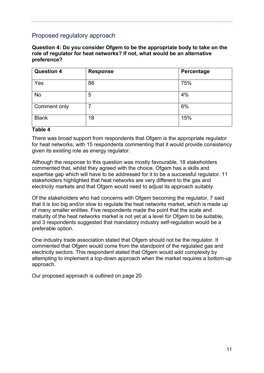#### Proposed regulatory approach

**Question 4: Do you consider Ofgem to be the appropriate body to take on the role of regulator for heat networks? If not, what would be an alternative preference?**

| <b>Question 4</b> | <b>Response</b> | Percentage |
|-------------------|-----------------|------------|
| Yes               | 88              | 75%        |
| No                | 5               | 4%         |
| Comment only      |                 | 6%         |
| <b>Blank</b>      | 18              | 15%        |

#### **Table 4**

There was broad support from respondents that Ofgem is the appropriate regulator for heat networks, with 15 respondents commenting that it would provide consistency given its existing role as energy regulator.

Although the response to this question was mostly favourable, 18 stakeholders commented that, whilst they agreed with the choice, Ofgem has a skills and expertise gap which will have to be addressed for it to be a successful regulator. 11 stakeholders highlighted that heat networks are very different to the gas and electricity markets and that Ofgem would need to adjust its approach suitably.

Of the stakeholders who had concerns with Ofgem becoming the regulator, 7 said that it is too big and/or slow to regulate the heat networks market, which is made up of many smaller entities. Five respondents made the point that the scale and maturity of the heat networks market is not yet at a level for Ofgem to be suitable. and 3 respondents suggested that mandatory industry self-regulation would be a preferable option.

One industry trade association stated that Ofgem should not be the regulator. It commented that Ofgem would come from the standpoint of the regulated gas and electricity sectors. This respondent stated that Ofgem would add complexity by attempting to implement a top-down approach when the market requires a bottom-up approach.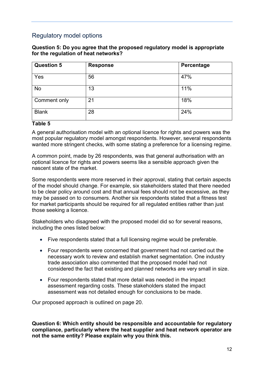#### Regulatory model options

#### **Question 5: Do you agree that the proposed regulatory model is appropriate for the regulation of heat networks?**

| <b>Question 5</b> | <b>Response</b> | Percentage |
|-------------------|-----------------|------------|
| Yes               | 56              | 47%        |
| <b>No</b>         | 13              | 11%        |
| Comment only      | 21              | 18%        |
| <b>Blank</b>      | 28              | 24%        |

#### **Table 5**

A general authorisation model with an optional licence for rights and powers was the most popular regulatory model amongst respondents. However, several respondents wanted more stringent checks, with some stating a preference for a licensing regime.

A common point, made by 26 respondents, was that general authorisation with an optional licence for rights and powers seems like a sensible approach given the nascent state of the market.

Some respondents were more reserved in their approval, stating that certain aspects of the model should change. For example, six stakeholders stated that there needed to be clear policy around cost and that annual fees should not be excessive, as they may be passed on to consumers. Another six respondents stated that a fitness test for market participants should be required for all regulated entities rather than just those seeking a licence.

Stakeholders who disagreed with the proposed model did so for several reasons, including the ones listed below:

- Five respondents stated that a full licensing regime would be preferable.
- Four respondents were concerned that government had not carried out the necessary work to review and establish market segmentation. One industry trade association also commented that the proposed model had not considered the fact that existing and planned networks are very small in size.
- Four respondents stated that more detail was needed in the impact assessment regarding costs. These stakeholders stated the impact assessment was not detailed enough for conclusions to be made.

Our proposed approach is outlined on page 20.

**Question 6: Which entity should be responsible and accountable for regulatory compliance, particularly where the heat supplier and heat network operator are not the same entity? Please explain why you think this.**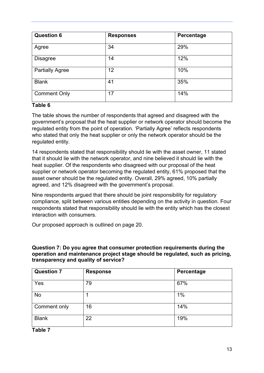| <b>Question 6</b>      | <b>Responses</b> | Percentage |
|------------------------|------------------|------------|
| Agree                  | 34               | 29%        |
| <b>Disagree</b>        | 14               | 12%        |
| <b>Partially Agree</b> | 12               | 10%        |
| <b>Blank</b>           | 41               | 35%        |
| <b>Comment Only</b>    | 17               | 14%        |

#### **Table 6**

The table shows the number of respondents that agreed and disagreed with the government's proposal that the heat supplier or network operator should become the regulated entity from the point of operation. 'Partially Agree' reflects respondents who stated that only the heat supplier or only the network operator should be the regulated entity.

14 respondents stated that responsibility should lie with the asset owner, 11 stated that it should lie with the network operator, and nine believed it should lie with the heat supplier. Of the respondents who disagreed with our proposal of the heat supplier or network operator becoming the regulated entity, 61% proposed that the asset owner should be the regulated entity. Overall, 29% agreed, 10% partially agreed, and 12% disagreed with the government's proposal.

Nine respondents argued that there should be joint responsibility for regulatory compliance, split between various entities depending on the activity in question. Four respondents stated that responsibility should lie with the entity which has the closest interaction with consumers.

Our proposed approach is outlined on page 20.

#### **Question 7: Do you agree that consumer protection requirements during the operation and maintenance project stage should be regulated, such as pricing, transparency and quality of service?**

| <b>Question 7</b> | <b>Response</b> | Percentage |
|-------------------|-----------------|------------|
| Yes               | 79              | 67%        |
| No                |                 | 1%         |
| Comment only      | 16              | 14%        |
| <b>Blank</b>      | 22              | 19%        |

**Table 7**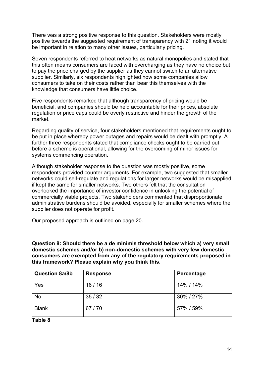There was a strong positive response to this question. Stakeholders were mostly positive towards the suggested requirement of transparency with 21 noting it would be important in relation to many other issues, particularly pricing.

Seven respondents referred to heat networks as natural monopolies and stated that this often means consumers are faced with overcharging as they have no choice but to pay the price charged by the supplier as they cannot switch to an alternative supplier. Similarly, six respondents highlighted how some companies allow consumers to take on their costs rather than bear this themselves with the knowledge that consumers have little choice.

Five respondents remarked that although transparency of pricing would be beneficial, and companies should be held accountable for their prices, absolute regulation or price caps could be overly restrictive and hinder the growth of the market.

Regarding quality of service, four stakeholders mentioned that requirements ought to be put in place whereby power outages and repairs would be dealt with promptly. A further three respondents stated that compliance checks ought to be carried out before a scheme is operational, allowing for the overcoming of minor issues for systems commencing operation.

Although stakeholder response to the question was mostly positive, some respondents provided counter arguments. For example, two suggested that smaller networks could self-regulate and regulations for larger networks would be misapplied if kept the same for smaller networks. Two others felt that the consultation overlooked the importance of investor confidence in unlocking the potential of commercially viable projects. Two stakeholders commented that disproportionate administrative burdens should be avoided, especially for smaller schemes where the supplier does not operate for profit.

Our proposed approach is outlined on page 20.

**Question 8: Should there be a de minimis threshold below which a) very small domestic schemes and/or b) non-domestic schemes with very few domestic consumers are exempted from any of the regulatory requirements proposed in this framework? Please explain why you think this.**

| <b>Question 8a/8b</b> | <b>Response</b> | Percentage |
|-----------------------|-----------------|------------|
| Yes                   | 16/16           | 14% / 14%  |
| No                    | 35/32           | 30%/27%    |
| <b>Blank</b>          | 67/70           | 57% / 59%  |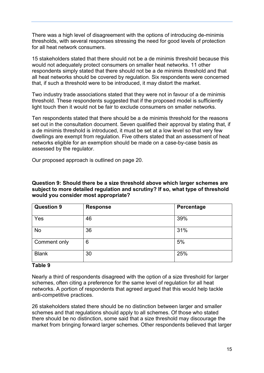There was a high level of disagreement with the options of introducing de-minimis thresholds, with several responses stressing the need for good levels of protection for all heat network consumers.

15 stakeholders stated that there should not be a de minimis threshold because this would not adequately protect consumers on smaller heat networks. 11 other respondents simply stated that there should not be a de minimis threshold and that all heat networks should be covered by regulation. Six respondents were concerned that, if such a threshold were to be introduced, it may distort the market.

Two industry trade associations stated that they were not in favour of a de minimis threshold. These respondents suggested that if the proposed model is sufficiently light touch then it would not be fair to exclude consumers on smaller networks.

Ten respondents stated that there should be a de minimis threshold for the reasons set out in the consultation document. Seven qualified their approval by stating that, if a de minimis threshold is introduced, it must be set at a low level so that very few dwellings are exempt from regulation. Five others stated that an assessment of heat networks eligible for an exemption should be made on a case-by-case basis as assessed by the regulator.

Our proposed approach is outlined on page 20.

**Question 9: Should there be a size threshold above which larger schemes are subject to more detailed regulation and scrutiny? If so, what type of threshold would you consider most appropriate?**

| <b>Question 9</b> | <b>Response</b> | Percentage |
|-------------------|-----------------|------------|
| Yes               | 46              | 39%        |
| No                | 36              | 31%        |
| Comment only      | 6               | 5%         |
| <b>Blank</b>      | 30              | 25%        |

#### **Table 9**

Nearly a third of respondents disagreed with the option of a size threshold for larger schemes, often citing a preference for the same level of regulation for all heat networks. A portion of respondents that agreed argued that this would help tackle anti-competitive practices.

26 stakeholders stated there should be no distinction between larger and smaller schemes and that regulations should apply to all schemes. Of those who stated there should be no distinction, some said that a size threshold may discourage the market from bringing forward larger schemes. Other respondents believed that larger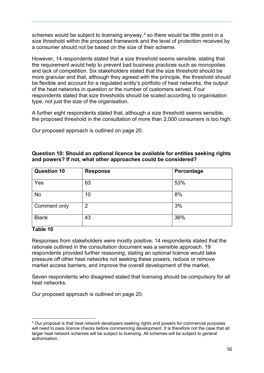schemes would be subject to licensing anyway,<sup>[4](#page-15-0)</sup> so there would be little point in a size threshold within the proposed framework and the level of protection received by a consumer should not be based on the size of their scheme.

However, 14 respondents stated that a size threshold seems sensible, stating that the requirement would help to prevent bad business practices such as monopolies and lack of competition. Six stakeholders stated that the size threshold should be more granular and that, although they agreed with the principle, the threshold should be flexible and account for a regulated entity's portfolio of heat networks, the output of the heat networks in question or the number of customers served. Four respondents stated that size thresholds should be scaled according to organisation type, not just the size of the organisation.

A further eight respondents stated that, although a size threshold seems sensible, the proposed threshold in the consultation of more than 2,000 consumers is too high.

Our proposed approach is outlined on page 20.

| <b>Question 10</b> | <b>Response</b> | Percentage |
|--------------------|-----------------|------------|
| Yes                | 63              | 53%        |
| No                 | 10              | 8%         |
| Comment only       | $\overline{2}$  | 3%         |
| <b>Blank</b>       | 43              | 36%        |

#### **Question 10: Should an optional licence be available for entities seeking rights and powers? If not, what other approaches could be considered?**

#### **Table 10**

Responses from stakeholders were mostly positive. 14 respondents stated that the rationale outlined in the consultation document was a sensible approach. 19 respondents provided further reasoning, stating an optional licence would take pressure off other heat networks not seeking these powers, reduce or remove market access barriers, and improve the overall development of the market.

Seven respondents who disagreed stated that licensing should be compulsory for all heat networks.

<span id="page-15-0"></span><sup>4</sup> Our proposal is that heat network developers seeking rights and powers for commercial purposes will need to pass licence checks before commencing development. It is therefore not the case that all larger heat network schemes will be subject to licensing. All schemes will be subject to general authorisation.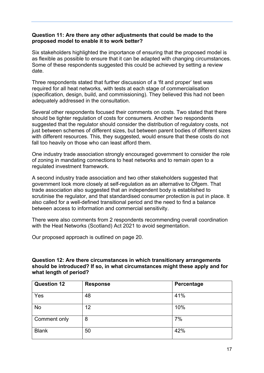#### **Question 11: Are there any other adjustments that could be made to the proposed model to enable it to work better?**

Six stakeholders highlighted the importance of ensuring that the proposed model is as flexible as possible to ensure that it can be adapted with changing circumstances. Some of these respondents suggested this could be achieved by setting a review date.

Three respondents stated that further discussion of a 'fit and proper' test was required for all heat networks, with tests at each stage of commercialisation (specification, design, build, and commissioning). They believed this had not been adequately addressed in the consultation.

Several other respondents focused their comments on costs. Two stated that there should be tighter regulation of costs for consumers. Another two respondents suggested that the regulator should consider the distribution of regulatory costs, not just between schemes of different sizes, but between parent bodies of different sizes with different resources. This, they suggested, would ensure that these costs do not fall too heavily on those who can least afford them.

One industry trade association strongly encouraged government to consider the role of zoning in mandating connections to heat networks and to remain open to a regulated investment framework.

A second industry trade association and two other stakeholders suggested that government look more closely at self-regulation as an alternative to Ofgem. That trade association also suggested that an independent body is established to scrutinise the regulator, and that standardised consumer protection is put in place. It also called for a well-defined transitional period and the need to find a balance between access to information and commercial sensitivity.

There were also comments from 2 respondents recommending overall coordination with the Heat Networks (Scotland) Act 2021 to avoid segmentation.

Our proposed approach is outlined on page 20.

#### **Question 12: Are there circumstances in which transitionary arrangements should be introduced? If so, in what circumstances might these apply and for what length of period?**

| <b>Question 12</b>  | <b>Response</b> | Percentage |
|---------------------|-----------------|------------|
| Yes                 | 48              | 41%        |
| No                  | 12              | 10%        |
| <b>Comment only</b> | 8               | 7%         |
| <b>Blank</b>        | 50              | 42%        |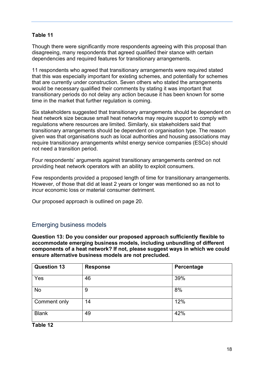#### **Table 11**

Though there were significantly more respondents agreeing with this proposal than disagreeing, many respondents that agreed qualified their stance with certain dependencies and required features for transitionary arrangements.

11 respondents who agreed that transitionary arrangements were required stated that this was especially important for existing schemes, and potentially for schemes that are currently under construction. Seven others who stated the arrangements would be necessary qualified their comments by stating it was important that transitionary periods do not delay any action because it has been known for some time in the market that further regulation is coming.

Six stakeholders suggested that transitionary arrangements should be dependent on heat network size because small heat networks may require support to comply with regulations where resources are limited. Similarly, six stakeholders said that transitionary arrangements should be dependent on organisation type. The reason given was that organisations such as local authorities and housing associations may require transitionary arrangements whilst energy service companies (ESCo) should not need a transition period.

Four respondents' arguments against transitionary arrangements centred on not providing heat network operators with an ability to exploit consumers.

Few respondents provided a proposed length of time for transitionary arrangements. However, of those that did at least 2 years or longer was mentioned so as not to incur economic loss or material consumer detriment.

Our proposed approach is outlined on page 20.

#### Emerging business models

**Question 13: Do you consider our proposed approach sufficiently flexible to accommodate emerging business models, including unbundling of different components of a heat network? If not, please suggest ways in which we could ensure alternative business models are not precluded.**

| <b>Question 13</b> | <b>Response</b> | Percentage |
|--------------------|-----------------|------------|
| Yes                | 46              | 39%        |
| No                 | 9               | 8%         |
| Comment only       | 14              | 12%        |
| <b>Blank</b>       | 49              | 42%        |

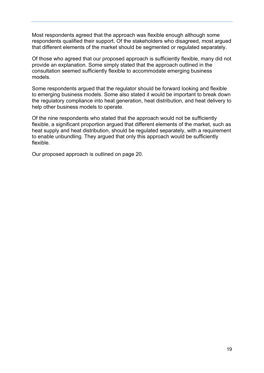Most respondents agreed that the approach was flexible enough although some respondents qualified their support. Of the stakeholders who disagreed, most argued that different elements of the market should be segmented or regulated separately.

Of those who agreed that our proposed approach is sufficiently flexible, many did not provide an explanation. Some simply stated that the approach outlined in the consultation seemed sufficiently flexible to accommodate emerging business models.

Some respondents argued that the regulator should be forward looking and flexible to emerging business models. Some also stated it would be important to break down the regulatory compliance into heat generation, heat distribution, and heat delivery to help other business models to operate.

Of the nine respondents who stated that the approach would not be sufficiently flexible, a significant proportion argued that different elements of the market, such as heat supply and heat distribution, should be regulated separately, with a requirement to enable unbundling. They argued that only this approach would be sufficiently flexible.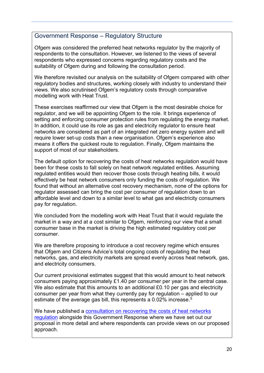#### <span id="page-19-0"></span>Government Response – Regulatory Structure

Ofgem was considered the preferred heat networks regulator by the majority of respondents to the consultation. However, we listened to the views of several respondents who expressed concerns regarding regulatory costs and the suitability of Ofgem during and following the consultation period.

We therefore revisited our analysis on the suitability of Ofgem compared with other regulatory bodies and structures, working closely with industry to understand their views. We also scrutinised Ofgem's regulatory costs through comparative modelling work with Heat Trust.

These exercises reaffirmed our view that Ofgem is the most desirable choice for regulator, and we will be appointing Ofgem to the role. It brings experience of setting and enforcing consumer protection rules from regulating the energy market. In addition, it could use its role as gas and electricity regulator to ensure heat networks are considered as part of an integrated net zero energy system and will require lower set-up costs than a new organisation. Ofgem's experience also means it offers the quickest route to regulation. Finally, Ofgem maintains the support of most of our stakeholders.

The default option for recovering the costs of heat networks regulation would have been for these costs to fall solely on heat network regulated entities. Assuming regulated entities would then recover those costs through heating bills, it would effectively be heat network consumers only funding the costs of regulation. We found that without an alternative cost recovery mechanism, none of the options for regulator assessed can bring the cost per consumer of regulation down to an affordable level and down to a similar level to what gas and electricity consumers pay for regulation.

We concluded from the modelling work with Heat Trust that it would regulate the market in a way and at a cost similar to Ofgem, reinforcing our view that a small consumer base in the market is driving the high estimated regulatory cost per consumer.

We are therefore proposing to introduce a cost recovery regime which ensures that Ofgem and Citizens Advice's total ongoing costs of regulating the heat networks, gas, and electricity markets are spread evenly across heat network, gas, and electricity consumers.

Our current provisional estimates suggest that this would amount to heat network consumers paying approximately £1.40 per consumer per year in the central case. We also estimate that this amounts to an additional £0.10 per gas and electricity consumer per year from what they currently pay for regulation – applied to our estimate of the average gas bill, this represents a 0.02% increase. [5](#page-19-1)

<span id="page-19-1"></span>We have published a consultation on recovering the costs of heat networks [regulation](https://www.gov.uk/government/consultations/recovering-the-costs-of-heat-networks-regulation) alongside this Government Response where we have set out our proposal in more detail and where respondents can provide views on our proposed approach.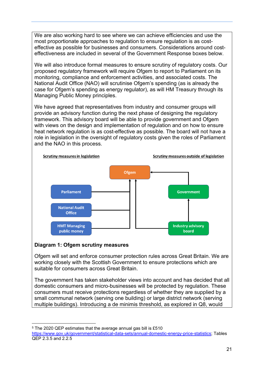We are also working hard to see where we can achieve efficiencies and use the most proportionate approaches to regulation to ensure regulation is as costeffective as possible for businesses and consumers. Considerations around costeffectiveness are included in several of the Government Response boxes below.

We will also introduce formal measures to ensure scrutiny of regulatory costs. Our proposed regulatory framework will require Ofgem to report to Parliament on its monitoring, compliance and enforcement activities, and associated costs. The National Audit Office (NAO) will scrutinise Ofgem's spending (as is already the case for Ofgem's spending as energy regulator), as will HM Treasury through its Managing Public Money principles.

We have agreed that representatives from industry and consumer groups will provide an advisory function during the next phase of designing the regulatory framework. This advisory board will be able to provide government and Ofgem with views on the design and implementation of regulation and on how to ensure heat network regulation is as cost-effective as possible. The board will not have a role in legislation in the oversight of regulatory costs given the roles of Parliament and the NAO in this process.



#### **Diagram 1: Ofgem scrutiny measures**

Ofgem will set and enforce consumer protection rules across Great Britain. We are working closely with the Scottish Government to ensure protections which are suitable for consumers across Great Britain.

The government has taken stakeholder views into account and has decided that all domestic consumers and micro-businesses will be protected by regulation. These consumers must receive protections regardless of whether they are supplied by a small communal network (serving one building) or large district network (serving multiple buildings). Introducing a de minimis threshold, as explored in Q8, would

<sup>5</sup> The 2020 QEP estimates that the average annual gas bill is £510 [https://www.gov.uk/government/statistical-data-sets/annual-domestic-energy-price-statistics;](https://www.gov.uk/government/statistical-data-sets/annual-domestic-energy-price-statistics) Tables

QEP 2.3.5 and 2.2.5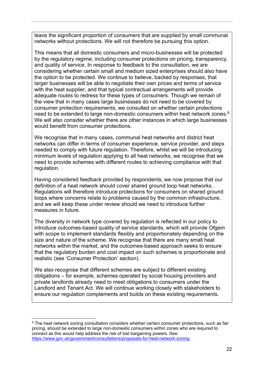leave the significant proportion of consumers that are supplied by small communal networks without protections. We will not therefore be pursuing this option.

This means that all domestic consumers and micro-businesses will be protected by the regulatory regime, including consumer protections on pricing, transparency, and quality of service. In response to feedback to the consultation, we are considering whether certain small and medium sized enterprises should also have the option to be protected. We continue to believe, backed by responses, that larger businesses will be able to negotiate their own prices and terms of service with the heat supplier, and that typical contractual arrangements will provide adequate routes to redress for these types of consumers. Though we remain of the view that in many cases large businesses do not need to be covered by consumer protection requirements, we consulted on whether certain protections need to be extended to large non-domestic consumers within heat network zones. $^6$  $^6$ We will also consider whether there are other instances in which large businesses would benefit from consumer protections.

We recognise that in many cases, communal heat networks and district heat networks can differ in terms of consumer experience, service provider, and steps needed to comply with future regulation. Therefore, whilst we will be introducing minimum levels of regulation applying to all heat networks, we recognise that we need to provide schemes with different routes to achieving compliance with that regulation.

Having considered feedback provided by respondents, we now propose that our definition of a heat network should cover shared ground loop heat networks. Regulations will therefore introduce protections for consumers on shared ground loops where concerns relate to problems caused by the common infrastructure, and we will keep these under review should we need to introduce further measures in future.

The diversity in network type covered by regulation is reflected in our policy to introduce outcomes-based quality of service standards, which will provide Ofgem with scope to implement standards flexibly and proportionately depending on the size and nature of the scheme. We recognise that there are many small heat networks within the market, and the outcomes-based approach seeks to ensure that the regulatory burden and cost impact on such schemes is proportionate and realistic (see 'Consumer Protection' section).

We also recognise that different schemes are subject to different existing obligations – for example, schemes operated by social housing providers and private landlords already need to meet obligations to consumers under the Landlord and Tenant Act. We will continue working closely with stakeholders to ensure our regulation complements and builds on these existing requirements.

<span id="page-21-0"></span> $6$  The heat network zoning consultation considers whether certain consumer protections, such as fair pricing, should be extended to large non-domestic consumers within zones who are required to connect as this would help address the risk of lost bargaining powers. See: <https://www.gov.uk/government/consultations/proposals-for-heat-network-zoning>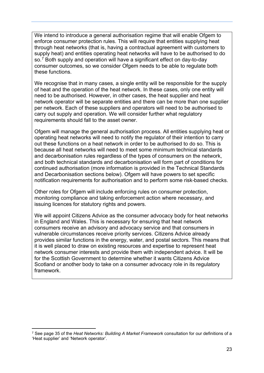We intend to introduce a general authorisation regime that will enable Ofgem to enforce consumer protection rules. This will require that entities supplying heat through heat networks (that is, having a contractual agreement with customers to supply heat) and entities operating heat networks will have to be authorised to do so. $\frac{7}{7}$  $\frac{7}{7}$  $\frac{7}{7}$  Both supply and operation will have a significant effect on day-to-day consumer outcomes, so we consider Ofgem needs to be able to regulate both these functions.

We recognise that in many cases, a single entity will be responsible for the supply of heat and the operation of the heat network. In these cases, only one entity will need to be authorised. However, in other cases, the heat supplier and heat network operator will be separate entities and there can be more than one supplier per network. Each of these suppliers and operators will need to be authorised to carry out supply and operation. We will consider further what regulatory requirements should fall to the asset owner.

Ofgem will manage the general authorisation process. All entities supplying heat or operating heat networks will need to notify the regulator of their intention to carry out these functions on a heat network in order to be authorised to do so. This is because all heat networks will need to meet some minimum technical standards and decarbonisation rules regardless of the types of consumers on the network, and both technical standards and decarbonisation will form part of conditions for continued authorisation (more information is provided in the Technical Standards and Decarbonisation sections below). Ofgem will have powers to set specific notification requirements for authorisation and to perform some risk-based checks.

Other roles for Ofgem will include enforcing rules on consumer protection, monitoring compliance and taking enforcement action where necessary, and issuing licences for statutory rights and powers.

We will appoint Citizens Advice as the consumer advocacy body for heat networks in England and Wales. This is necessary for ensuring that heat network consumers receive an advisory and advocacy service and that consumers in vulnerable circumstances receive priority services. Citizens Advice already provides similar functions in the energy, water, and postal sectors. This means that it is well placed to draw on existing resources and expertise to represent heat network consumer interests and provide them with independent advice. It will be for the Scottish Government to determine whether it wants Citizens Advice Scotland or another body to take on a consumer advocacy role in its regulatory framework.

<span id="page-22-0"></span><sup>7</sup> See page 35 of the *Heat Networks: Building A Market Framework* consultation for our definitions of a 'Heat supplier' and 'Network operator'.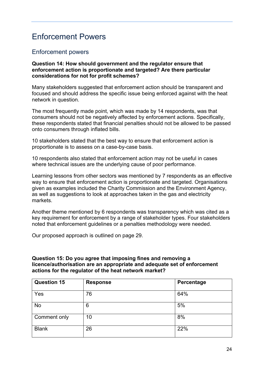## <span id="page-23-0"></span>Enforcement Powers

#### Enforcement powers

#### **Question 14: How should government and the regulator ensure that enforcement action is proportionate and targeted? Are there particular considerations for not for profit schemes?**

Many stakeholders suggested that enforcement action should be transparent and focused and should address the specific issue being enforced against with the heat network in question.

The most frequently made point, which was made by 14 respondents, was that consumers should not be negatively affected by enforcement actions. Specifically, these respondents stated that financial penalties should not be allowed to be passed onto consumers through inflated bills.

10 stakeholders stated that the best way to ensure that enforcement action is proportionate is to assess on a case-by-case basis.

10 respondents also stated that enforcement action may not be useful in cases where technical issues are the underlying cause of poor performance.

Learning lessons from other sectors was mentioned by 7 respondents as an effective way to ensure that enforcement action is proportionate and targeted. Organisations given as examples included the Charity Commission and the Environment Agency, as well as suggestions to look at approaches taken in the gas and electricity markets.

Another theme mentioned by 6 respondents was transparency which was cited as a key requirement for enforcement by a range of stakeholder types. Four stakeholders noted that enforcement guidelines or a penalties methodology were needed.

Our proposed approach is outlined on page 29.

#### **Question 15: Do you agree that imposing fines and removing a licence/authorisation are an appropriate and adequate set of enforcement actions for the regulator of the heat network market?**

| <b>Question 15</b> | <b>Response</b> | Percentage |
|--------------------|-----------------|------------|
| Yes                | 76              | 64%        |
| No                 | 6               | 5%         |
| Comment only       | 10              | 8%         |
| <b>Blank</b>       | 26              | 22%        |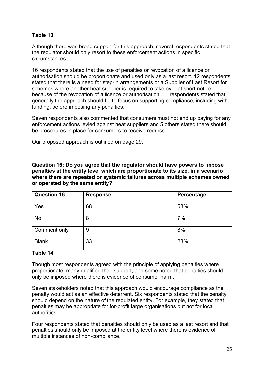#### **Table 13**

Although there was broad support for this approach, several respondents stated that the regulator should only resort to these enforcement actions in specific circumstances.

16 respondents stated that the use of penalties or revocation of a licence or authorisation should be proportionate and used only as a last resort. 12 respondents stated that there is a need for step-in arrangements or a Supplier of Last Resort for schemes where another heat supplier is required to take over at short notice because of the revocation of a licence or authorisation. 11 respondents stated that generally the approach should be to focus on supporting compliance, including with funding, before imposing any penalties.

Seven respondents also commented that consumers must not end up paying for any enforcement actions levied against heat suppliers and 5 others stated there should be procedures in place for consumers to receive redress.

Our proposed approach is outlined on page 29.

**Question 16: Do you agree that the regulator should have powers to impose penalties at the entity level which are proportionate to its size, in a scenario where there are repeated or systemic failures across multiple schemes owned or operated by the same entity?**

| <b>Question 16</b> | <b>Response</b> | Percentage |
|--------------------|-----------------|------------|
| Yes                | 68              | 58%        |
| <b>No</b>          | 8               | 7%         |
| Comment only       | 9               | 8%         |
| <b>Blank</b>       | 33              | 28%        |

#### **Table 14**

Though most respondents agreed with the principle of applying penalties where proportionate, many qualified their support, and some noted that penalties should only be imposed where there is evidence of consumer harm.

Seven stakeholders noted that this approach would encourage compliance as the penalty would act as an effective deterrent. Six respondents stated that the penalty should depend on the nature of the regulated entity. For example, they stated that penalties may be appropriate for for-profit large organisations but not for local authorities.

Four respondents stated that penalties should only be used as a last resort and that penalties should only be imposed at the entity level where there is evidence of multiple instances of non-compliance.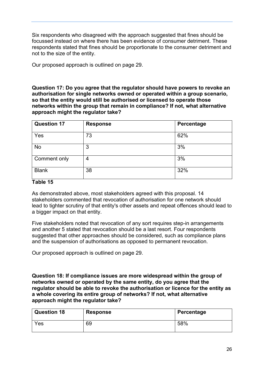Six respondents who disagreed with the approach suggested that fines should be focussed instead on where there has been evidence of consumer detriment. These respondents stated that fines should be proportionate to the consumer detriment and not to the size of the entity.

Our proposed approach is outlined on page 29.

**Question 17: Do you agree that the regulator should have powers to revoke an authorisation for single networks owned or operated within a group scenario, so that the entity would still be authorised or licensed to operate those networks within the group that remain in compliance? If not, what alternative approach might the regulator take?**

| <b>Question 17</b>  | <b>Response</b> | Percentage |
|---------------------|-----------------|------------|
| Yes                 | 73              | 62%        |
| No                  | 3               | 3%         |
| <b>Comment only</b> | 4               | 3%         |
| <b>Blank</b>        | 38              | 32%        |

#### **Table 15**

As demonstrated above, most stakeholders agreed with this proposal. 14 stakeholders commented that revocation of authorisation for one network should lead to tighter scrutiny of that entity's other assets and repeat offences should lead to a bigger impact on that entity.

Five stakeholders noted that revocation of any sort requires step-in arrangements and another 5 stated that revocation should be a last resort. Four respondents suggested that other approaches should be considered, such as compliance plans and the suspension of authorisations as opposed to permanent revocation.

Our proposed approach is outlined on page 29.

**Question 18: If compliance issues are more widespread within the group of networks owned or operated by the same entity, do you agree that the regulator should be able to revoke the authorisation or licence for the entity as a whole covering its entire group of networks? If not, what alternative approach might the regulator take?**

| <b>Question 18</b> | <b>Response</b> | Percentage |
|--------------------|-----------------|------------|
| Yes                | 69              | 58%        |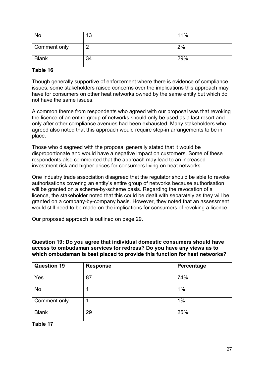| No           | 13 | 11% |
|--------------|----|-----|
| Comment only |    | 2%  |
| <b>Blank</b> | 34 | 29% |

#### **Table 16**

Though generally supportive of enforcement where there is evidence of compliance issues, some stakeholders raised concerns over the implications this approach may have for consumers on other heat networks owned by the same entity but which do not have the same issues.

A common theme from respondents who agreed with our proposal was that revoking the licence of an entire group of networks should only be used as a last resort and only after other compliance avenues had been exhausted. Many stakeholders who agreed also noted that this approach would require step-in arrangements to be in place.

Those who disagreed with the proposal generally stated that it would be disproportionate and would have a negative impact on customers. Some of these respondents also commented that the approach may lead to an increased investment risk and higher prices for consumers living on heat networks.

One industry trade association disagreed that the regulator should be able to revoke authorisations covering an entity's entire group of networks because authorisation will be granted on a scheme-by-scheme basis. Regarding the revocation of a licence, the stakeholder noted that this could be dealt with separately as they will be granted on a company-by-company basis. However, they noted that an assessment would still need to be made on the implications for consumers of revoking a licence.

Our proposed approach is outlined on page 29.

**Question 19: Do you agree that individual domestic consumers should have access to ombudsman services for redress? Do you have any views as to which ombudsman is best placed to provide this function for heat networks?**

| <b>Question 19</b>  | <b>Response</b> | Percentage |
|---------------------|-----------------|------------|
| Yes                 | 87              | 74%        |
| No                  |                 | 1%         |
| <b>Comment only</b> |                 | $1\%$      |
| <b>Blank</b>        | 29              | 25%        |

**Table 17**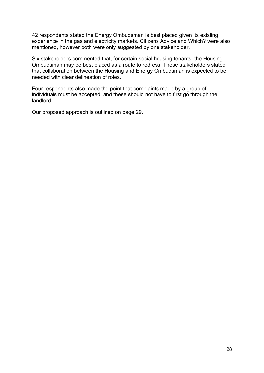42 respondents stated the Energy Ombudsman is best placed given its existing experience in the gas and electricity markets. Citizens Advice and Which? were also mentioned, however both were only suggested by one stakeholder.

Six stakeholders commented that, for certain social housing tenants, the Housing Ombudsman may be best placed as a route to redress. These stakeholders stated that collaboration between the Housing and Energy Ombudsman is expected to be needed with clear delineation of roles.

Four respondents also made the point that complaints made by a group of individuals must be accepted, and these should not have to first go through the landlord.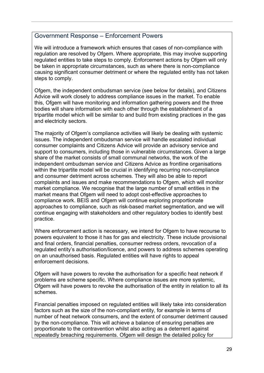#### <span id="page-28-0"></span>Government Response – Enforcement Powers

We will introduce a framework which ensures that cases of non-compliance with regulation are resolved by Ofgem. Where appropriate, this may involve supporting regulated entities to take steps to comply. Enforcement actions by Ofgem will only be taken in appropriate circumstances, such as where there is non-compliance causing significant consumer detriment or where the regulated entity has not taken steps to comply.

Ofgem, the independent ombudsman service (see below for details), and Citizens Advice will work closely to address compliance issues in the market. To enable this, Ofgem will have monitoring and information gathering powers and the three bodies will share information with each other through the establishment of a tripartite model which will be similar to and build from existing practices in the gas and electricity sectors.

The majority of Ofgem's compliance activities will likely be dealing with systemic issues. The independent ombudsman service will handle escalated individual consumer complaints and Citizens Advice will provide an advisory service and support to consumers, including those in vulnerable circumstances. Given a large share of the market consists of small communal networks, the work of the independent ombudsman service and Citizens Advice as frontline organisations within the tripartite model will be crucial in identifying recurring non-compliance and consumer detriment across schemes. They will also be able to report complaints and issues and make recommendations to Ofgem, which will monitor market compliance. We recognise that the large number of small entities in the market means that Ofgem will need to adopt cost-effective approaches to compliance work. BEIS and Ofgem will continue exploring proportionate approaches to compliance, such as risk-based market segmentation, and we will continue engaging with stakeholders and other regulatory bodies to identify best practice.

Where enforcement action is necessary, we intend for Ofgem to have recourse to powers equivalent to those it has for gas and electricity. These include provisional and final orders, financial penalties, consumer redress orders, revocation of a regulated entity's authorisation/licence, and powers to address schemes operating on an unauthorised basis. Regulated entities will have rights to appeal enforcement decisions.

Ofgem will have powers to revoke the authorisation for a specific heat network if problems are scheme specific. Where compliance issues are more systemic, Ofgem will have powers to revoke the authorisation of the entity in relation to all its schemes.

Financial penalties imposed on regulated entities will likely take into consideration factors such as the size of the non-compliant entity, for example in terms of number of heat network consumers, and the extent of consumer detriment caused by the non-compliance. This will achieve a balance of ensuring penalties are proportionate to the contravention whilst also acting as a deterrent against repeatedly breaching requirements. Ofgem will design the detailed policy for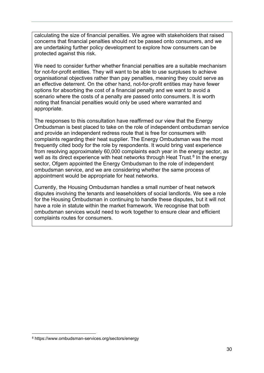calculating the size of financial penalties. We agree with stakeholders that raised concerns that financial penalties should not be passed onto consumers, and we are undertaking further policy development to explore how consumers can be protected against this risk.

We need to consider further whether financial penalties are a suitable mechanism for not-for-profit entities. They will want to be able to use surpluses to achieve organisational objectives rather than pay penalties, meaning they could serve as an effective deterrent. On the other hand, not-for-profit entities may have fewer options for absorbing the cost of a financial penalty and we want to avoid a scenario where the costs of a penalty are passed onto consumers. It is worth noting that financial penalties would only be used where warranted and appropriate.

The responses to this consultation have reaffirmed our view that the Energy Ombudsman is best placed to take on the role of independent ombudsman service and provide an independent redress route that is free for consumers with complaints regarding their heat supplier. The Energy Ombudsman was the most frequently cited body for the role by respondents. It would bring vast experience from resolving approximately 60,000 complaints each year in the energy sector, as well as its direct experience with heat networks through Heat Trust.<sup>[8](#page-29-0)</sup> In the energy sector, Ofgem appointed the Energy Ombudsman to the role of independent ombudsman service, and we are considering whether the same process of appointment would be appropriate for heat networks.

Currently, the Housing Ombudsman handles a small number of heat network disputes involving the tenants and leaseholders of social landlords. We see a role for the Housing Ombudsman in continuing to handle these disputes, but it will not have a role in statute within the market framework. We recognise that both ombudsman services would need to work together to ensure clear and efficient complaints routes for consumers.

<span id="page-29-0"></span><sup>8</sup> https://www.ombudsman-services.org/sectors/energy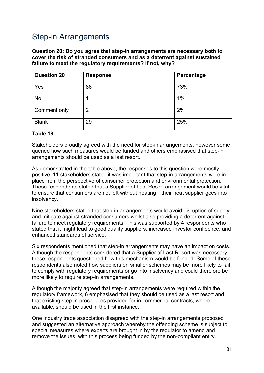## <span id="page-30-0"></span>Step-in Arrangements

**Question 20: Do you agree that step-in arrangements are necessary both to cover the risk of stranded consumers and as a deterrent against sustained failure to meet the regulatory requirements? If not, why?**

| <b>Question 20</b> | <b>Response</b> | Percentage |
|--------------------|-----------------|------------|
| Yes                | 86              | 73%        |
| No                 |                 | 1%         |
| Comment only       | 2               | 2%         |
| <b>Blank</b>       | 29              | 25%        |

#### **Table 18**

Stakeholders broadly agreed with the need for step-in arrangements, however some queried how such measures would be funded and others emphasised that step-in arrangements should be used as a last resort.

As demonstrated in the table above, the responses to this question were mostly positive. 11 stakeholders stated it was important that step-in arrangements were in place from the perspective of consumer protection and environmental protection. These respondents stated that a Supplier of Last Resort arrangement would be vital to ensure that consumers are not left without heating if their heat supplier goes into insolvency.

Nine stakeholders stated that step-in arrangements would avoid disruption of supply and mitigate against stranded consumers whilst also providing a deterrent against failure to meet regulatory requirements. This was supported by 4 respondents who stated that it might lead to good quality suppliers, increased investor confidence, and enhanced standards of service.

Six respondents mentioned that step-in arrangements may have an impact on costs. Although the respondents considered that a Supplier of Last Resort was necessary, these respondents questioned how this mechanism would be funded. Some of these respondents also noted how suppliers on smaller schemes may be more likely to fail to comply with regulatory requirements or go into insolvency and could therefore be more likely to require step-in arrangements.

Although the majority agreed that step-in arrangements were required within the regulatory framework, 6 emphasised that they should be used as a last resort and that existing step-in procedures provided for in commercial contracts, where available, should be used in the first instance.

One industry trade association disagreed with the step-in arrangements proposed and suggested an alternative approach whereby the offending scheme is subject to special measures where experts are brought in by the regulator to amend and remove the issues, with this process being funded by the non-compliant entity.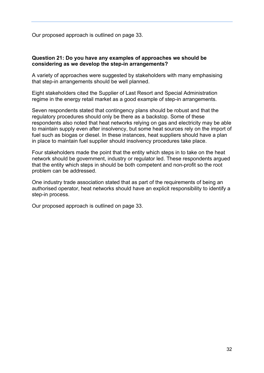Our proposed approach is outlined on page 33.

#### **Question 21: Do you have any examples of approaches we should be considering as we develop the step-in arrangements?**

A variety of approaches were suggested by stakeholders with many emphasising that step-in arrangements should be well planned.

Eight stakeholders cited the Supplier of Last Resort and Special Administration regime in the energy retail market as a good example of step-in arrangements.

Seven respondents stated that contingency plans should be robust and that the regulatory procedures should only be there as a backstop. Some of these respondents also noted that heat networks relying on gas and electricity may be able to maintain supply even after insolvency, but some heat sources rely on the import of fuel such as biogas or diesel. In these instances, heat suppliers should have a plan in place to maintain fuel supplier should insolvency procedures take place.

Four stakeholders made the point that the entity which steps in to take on the heat network should be government, industry or regulator led. These respondents argued that the entity which steps in should be both competent and non-profit so the root problem can be addressed.

One industry trade association stated that as part of the requirements of being an authorised operator, heat networks should have an explicit responsibility to identify a step-in process.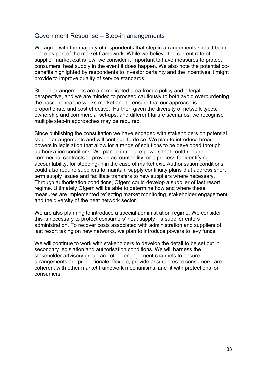#### <span id="page-32-0"></span>Government Response – Step-in arrangements

We agree with the majority of respondents that step-in arrangements should be in place as part of the market framework. While we believe the current rate of supplier market exit is low, we consider it important to have measures to protect consumers' heat supply in the event it does happen. We also note the potential cobenefits highlighted by respondents to investor certainty and the incentives it might provide to improve quality of service standards.

Step-in arrangements are a complicated area from a policy and a legal perspective, and we are minded to proceed cautiously to both avoid overburdening the nascent heat networks market and to ensure that our approach is proportionate and cost effective. Further, given the diversity of network types, ownership and commercial set-ups, and different failure scenarios, we recognise multiple step-in approaches may be required.

Since publishing the consultation we have engaged with stakeholders on potential step-in arrangements and will continue to do so. We plan to introduce broad powers in legislation that allow for a range of solutions to be developed through authorisation conditions. We plan to introduce powers that could require commercial contracts to provide accountability, or a process for identifying accountability, for stepping-in in the case of market exit. Authorisation conditions could also require suppliers to maintain supply continuity plans that address short term supply issues and facilitate transfers to new suppliers where necessary. Through authorisation conditions, Ofgem could develop a supplier of last resort regime. Ultimately Ofgem will be able to determine how and where these measures are implemented reflecting market monitoring, stakeholder engagement, and the diversity of the heat network sector.

We are also planning to introduce a special administration regime. We consider this is necessary to protect consumers' heat supply if a supplier enters administration. To recover costs associated with administration and suppliers of last resort taking on new networks, we plan to introduce powers to levy funds.

We will continue to work with stakeholders to develop the detail to be set out in secondary legislation and authorisation conditions. We will harness the stakeholder advisory group and other engagement channels to ensure arrangements are proportionate, flexible, provide assurances to consumers, are coherent with other market framework mechanisms, and fit with protections for consumers.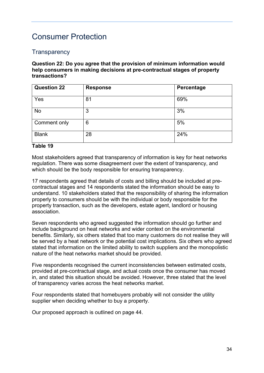### <span id="page-33-0"></span>Consumer Protection

#### **Transparency**

**Question 22: Do you agree that the provision of minimum information would help consumers in making decisions at pre-contractual stages of property transactions?**

| <b>Question 22</b> | <b>Response</b> | Percentage |
|--------------------|-----------------|------------|
| Yes                | 81              | 69%        |
| No                 | 3               | 3%         |
| Comment only       | 6               | 5%         |
| <b>Blank</b>       | 28              | 24%        |

#### **Table 19**

Most stakeholders agreed that transparency of information is key for heat networks regulation. There was some disagreement over the extent of transparency, and which should be the body responsible for ensuring transparency.

17 respondents agreed that details of costs and billing should be included at precontractual stages and 14 respondents stated the information should be easy to understand. 10 stakeholders stated that the responsibility of sharing the information properly to consumers should be with the individual or body responsible for the property transaction, such as the developers, estate agent, landlord or housing association.

Seven respondents who agreed suggested the information should go further and include background on heat networks and wider context on the environmental benefits. Similarly, six others stated that too many customers do not realise they will be served by a heat network or the potential cost implications. Six others who agreed stated that information on the limited ability to switch suppliers and the monopolistic nature of the heat networks market should be provided.

Five respondents recognised the current inconsistencies between estimated costs, provided at pre-contractual stage, and actual costs once the consumer has moved in, and stated this situation should be avoided. However, three stated that the level of transparency varies across the heat networks market.

Four respondents stated that homebuyers probably will not consider the utility supplier when deciding whether to buy a property.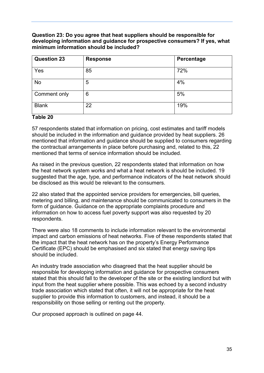#### **Question 23: Do you agree that heat suppliers should be responsible for developing information and guidance for prospective consumers? If yes, what minimum information should be included?**

| <b>Question 23</b> | <b>Response</b> | Percentage |
|--------------------|-----------------|------------|
| Yes                | 85              | 72%        |
| <b>No</b>          | 5               | 4%         |
| Comment only       | 6               | 5%         |
| <b>Blank</b>       | 22              | 19%        |

#### **Table 20**

57 respondents stated that information on pricing, cost estimates and tariff models should be included in the information and guidance provided by heat suppliers. 26 mentioned that information and guidance should be supplied to consumers regarding the contractual arrangements in place before purchasing and, related to this, 22 mentioned that terms of service information should be included.

As raised in the previous question, 22 respondents stated that information on how the heat network system works and what a heat network is should be included. 19 suggested that the age, type, and performance indicators of the heat network should be disclosed as this would be relevant to the consumers.

22 also stated that the appointed service providers for emergencies, bill queries, metering and billing, and maintenance should be communicated to consumers in the form of guidance. Guidance on the appropriate complaints procedure and information on how to access fuel poverty support was also requested by 20 respondents.

There were also 18 comments to include information relevant to the environmental impact and carbon emissions of heat networks. Five of these respondents stated that the impact that the heat network has on the property's Energy Performance Certificate (EPC) should be emphasised and six stated that energy saving tips should be included.

An industry trade association who disagreed that the heat supplier should be responsible for developing information and guidance for prospective consumers stated that this should fall to the developer of the site or the existing landlord but with input from the heat supplier where possible. This was echoed by a second industry trade association which stated that often, it will not be appropriate for the heat supplier to provide this information to customers, and instead, it should be a responsibility on those selling or renting out the property.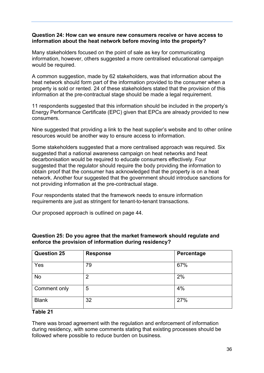#### **Question 24: How can we ensure new consumers receive or have access to information about the heat network before moving into the property?**

Many stakeholders focused on the point of sale as key for communicating information, however, others suggested a more centralised educational campaign would be required.

A common suggestion, made by 62 stakeholders, was that information about the heat network should form part of the information provided to the consumer when a property is sold or rented. 24 of these stakeholders stated that the provision of this information at the pre-contractual stage should be made a legal requirement.

11 respondents suggested that this information should be included in the property's Energy Performance Certificate (EPC) given that EPCs are already provided to new consumers.

Nine suggested that providing a link to the heat supplier's website and to other online resources would be another way to ensure access to information.

Some stakeholders suggested that a more centralised approach was required. Six suggested that a national awareness campaign on heat networks and heat decarbonisation would be required to educate consumers effectively. Four suggested that the regulator should require the body providing the information to obtain proof that the consumer has acknowledged that the property is on a heat network. Another four suggested that the government should introduce sanctions for not providing information at the pre-contractual stage.

Four respondents stated that the framework needs to ensure information requirements are just as stringent for tenant-to-tenant transactions.

Our proposed approach is outlined on page 44.

| <b>Question 25</b> | <b>Response</b> | Percentage |
|--------------------|-----------------|------------|
| Yes                | 79              | 67%        |
| <b>No</b>          | $\overline{2}$  | 2%         |
| Comment only       | 5               | 4%         |
| <b>Blank</b>       | 32              | 27%        |

#### **Question 25: Do you agree that the market framework should regulate and enforce the provision of information during residency?**

#### **Table 21**

There was broad agreement with the regulation and enforcement of information during residency, with some comments stating that existing processes should be followed where possible to reduce burden on business.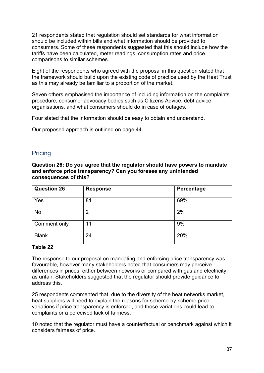21 respondents stated that regulation should set standards for what information should be included within bills and what information should be provided to consumers. Some of these respondents suggested that this should include how the tariffs have been calculated, meter readings, consumption rates and price comparisons to similar schemes.

Eight of the respondents who agreed with the proposal in this question stated that the framework should build upon the existing code of practice used by the Heat Trust as this may already be familiar to a proportion of the market.

Seven others emphasised the importance of including information on the complaints procedure, consumer advocacy bodies such as Citizens Advice, debt advice organisations, and what consumers should do in case of outages.

Four stated that the information should be easy to obtain and understand.

Our proposed approach is outlined on page 44.

#### **Pricing**

**Question 26: Do you agree that the regulator should have powers to mandate and enforce price transparency? Can you foresee any unintended consequences of this?**

| <b>Question 26</b> | <b>Response</b> | Percentage |
|--------------------|-----------------|------------|
| Yes                | 81              | 69%        |
| <b>No</b>          | $\overline{2}$  | 2%         |
| Comment only       | 11              | 9%         |
| <b>Blank</b>       | 24              | 20%        |

#### **Table 22**

The response to our proposal on mandating and enforcing price transparency was favourable, however many stakeholders noted that consumers may perceive differences in prices, either between networks or compared with gas and electricity, as unfair. Stakeholders suggested that the regulator should provide guidance to address this.

25 respondents commented that, due to the diversity of the heat networks market, heat suppliers will need to explain the reasons for scheme-by-scheme price variations if price transparency is enforced, and those variations could lead to complaints or a perceived lack of fairness.

10 noted that the regulator must have a counterfactual or benchmark against which it considers fairness of price.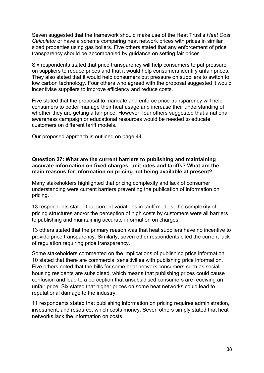Seven suggested that the framework should make use of the Heat Trust's *Heat Cost Calculator* or have a scheme comparing heat network prices with prices in similar sized properties using gas boilers. Five others stated that any enforcement of price transparency should be accompanied by guidance on setting fair prices.

Six respondents stated that price transparency will help consumers to put pressure on suppliers to reduce prices and that it would help consumers identify unfair prices. They also stated that it would help consumers put pressure on suppliers to switch to low carbon technology. Four others who agreed with the proposal suggested it would incentivise suppliers to improve efficiency and reduce costs.

Five stated that the proposal to mandate and enforce price transparency will help consumers to better manage their heat usage and increase their understanding of whether they are getting a fair price. However, four others suggested that a national awareness campaign or educational resources would be needed to educate customers on different tariff models.

Our proposed approach is outlined on page 44.

#### **Question 27: What are the current barriers to publishing and maintaining accurate information on fixed charges, unit rates and tariffs? What are the main reasons for information on pricing not being available at present?**

Many stakeholders highlighted that pricing complexity and lack of consumer understanding were current barriers preventing the publication of information on pricing.

13 respondents stated that current variations in tariff models, the complexity of pricing structures and/or the perception of high costs by customers were all barriers to publishing and maintaining accurate information on charges.

13 others stated that the primary reason was that heat suppliers have no incentive to provide price transparency. Similarly, seven other respondents cited the current lack of regulation requiring price transparency.

Some stakeholders commented on the implications of publishing price information. 10 stated that there are commercial sensitivities with publishing price information. Five others noted that the bills for some heat network consumers such as social housing residents are subsidised, which means that publishing prices could cause confusion and lead to a perception that unsubsidised consumers are receiving an unfair price. Six stated that higher prices on some heat networks could lead to reputational damage to the industry.

11 respondents stated that publishing information on pricing requires administration, investment, and resource, which costs money. Seven others simply stated that heat networks lack the information on costs.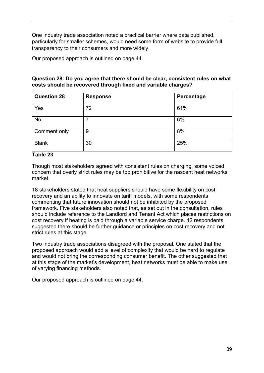One industry trade association noted a practical barrier where data published, particularly for smaller schemes, would need some form of website to provide full transparency to their consumers and more widely.

Our proposed approach is outlined on page 44.

#### **Question 28: Do you agree that there should be clear, consistent rules on what costs should be recovered through fixed and variable charges?**

| <b>Question 28</b> | <b>Response</b> | Percentage |
|--------------------|-----------------|------------|
| Yes                | 72              | 61%        |
| <b>No</b>          | 7               | 6%         |
| Comment only       | 9               | 8%         |
| <b>Blank</b>       | 30              | 25%        |

#### **Table 23**

Though most stakeholders agreed with consistent rules on charging, some voiced concern that overly strict rules may be too prohibitive for the nascent heat networks market.

18 stakeholders stated that heat suppliers should have some flexibility on cost recovery and an ability to innovate on tariff models, with some respondents commenting that future innovation should not be inhibited by the proposed framework. Five stakeholders also noted that, as set out in the consultation, rules should include reference to the Landlord and Tenant Act which places restrictions on cost recovery if heating is paid through a variable service charge. 12 respondents suggested there should be further guidance or principles on cost recovery and not strict rules at this stage.

Two industry trade associations disagreed with the proposal. One stated that the proposed approach would add a level of complexity that would be hard to regulate and would not bring the corresponding consumer benefit. The other suggested that at this stage of the market's development, heat networks must be able to make use of varying financing methods.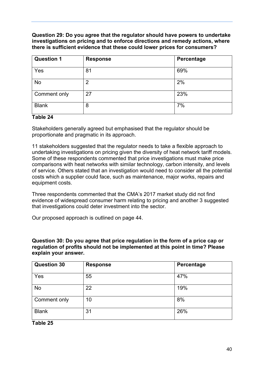**Question 29: Do you agree that the regulator should have powers to undertake investigations on pricing and to enforce directions and remedy actions, where there is sufficient evidence that these could lower prices for consumers?** 

| <b>Question 1</b> | <b>Response</b> | Percentage |
|-------------------|-----------------|------------|
| Yes               | 81              | 69%        |
| No                | 2               | 2%         |
| Comment only      | 27              | 23%        |
| <b>Blank</b>      | 8               | 7%         |

#### **Table 24**

Stakeholders generally agreed but emphasised that the regulator should be proportionate and pragmatic in its approach.

11 stakeholders suggested that the regulator needs to take a flexible approach to undertaking investigations on pricing given the diversity of heat network tariff models. Some of these respondents commented that price investigations must make price comparisons with heat networks with similar technology, carbon intensity, and levels of service. Others stated that an investigation would need to consider all the potential costs which a supplier could face, such as maintenance, major works, repairs and equipment costs.

Three respondents commented that the CMA's 2017 market study did not find evidence of widespread consumer harm relating to pricing and another 3 suggested that investigations could deter investment into the sector.

Our proposed approach is outlined on page 44.

**Question 30: Do you agree that price regulation in the form of a price cap or regulation of profits should not be implemented at this point in time? Please explain your answer.**

| <b>Question 30</b> | <b>Response</b> | Percentage |
|--------------------|-----------------|------------|
| Yes                | 55              | 47%        |
| No                 | 22              | 19%        |
| Comment only       | 10              | 8%         |
| <b>Blank</b>       | 31              | 26%        |

#### **Table 25**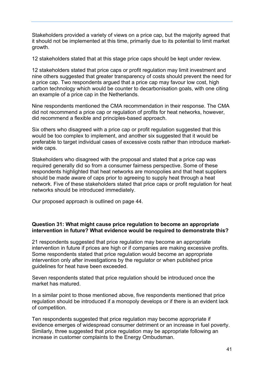Stakeholders provided a variety of views on a price cap, but the majority agreed that it should not be implemented at this time, primarily due to its potential to limit market growth.

12 stakeholders stated that at this stage price caps should be kept under review.

12 stakeholders stated that price caps or profit regulation may limit investment and nine others suggested that greater transparency of costs should prevent the need for a price cap. Two respondents argued that a price cap may favour low cost, high carbon technology which would be counter to decarbonisation goals, with one citing an example of a price cap in the Netherlands.

Nine respondents mentioned the CMA recommendation in their response. The CMA did not recommend a price cap or regulation of profits for heat networks, however, did recommend a flexible and principles-based approach.

Six others who disagreed with a price cap or profit regulation suggested that this would be too complex to implement, and another six suggested that it would be preferable to target individual cases of excessive costs rather than introduce marketwide caps.

Stakeholders who disagreed with the proposal and stated that a price cap was required generally did so from a consumer fairness perspective. Some of these respondents highlighted that heat networks are monopolies and that heat suppliers should be made aware of caps prior to agreeing to supply heat through a heat network. Five of these stakeholders stated that price caps or profit regulation for heat networks should be introduced immediately.

Our proposed approach is outlined on page 44.

#### **Question 31: What might cause price regulation to become an appropriate intervention in future? What evidence would be required to demonstrate this?**

21 respondents suggested that price regulation may become an appropriate intervention in future if prices are high or if companies are making excessive profits. Some respondents stated that price regulation would become an appropriate intervention only after investigations by the regulator or when published price guidelines for heat have been exceeded.

Seven respondents stated that price regulation should be introduced once the market has matured.

In a similar point to those mentioned above, five respondents mentioned that price regulation should be introduced if a monopoly develops or if there is an evident lack of competition.

Ten respondents suggested that price regulation may become appropriate if evidence emerges of widespread consumer detriment or an increase in fuel poverty. Similarly, three suggested that price regulation may be appropriate following an increase in customer complaints to the Energy Ombudsman.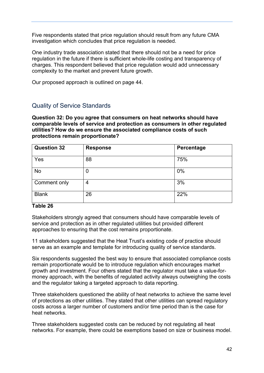Five respondents stated that price regulation should result from any future CMA investigation which concludes that price regulation is needed.

One industry trade association stated that there should not be a need for price regulation in the future if there is sufficient whole-life costing and transparency of charges. This respondent believed that price regulation would add unnecessary complexity to the market and prevent future growth.

Our proposed approach is outlined on page 44.

#### Quality of Service Standards

**Question 32: Do you agree that consumers on heat networks should have comparable levels of service and protection as consumers in other regulated utilities? How do we ensure the associated compliance costs of such protections remain proportionate?**

| <b>Question 32</b> | <b>Response</b> | Percentage |
|--------------------|-----------------|------------|
| Yes                | 88              | 75%        |
| No                 | 0               | 0%         |
| Comment only       | 4               | 3%         |
| <b>Blank</b>       | 26              | 22%        |

#### **Table 26**

Stakeholders strongly agreed that consumers should have comparable levels of service and protection as in other regulated utilities but provided different approaches to ensuring that the cost remains proportionate.

11 stakeholders suggested that the Heat Trust's existing code of practice should serve as an example and template for introducing quality of service standards.

Six respondents suggested the best way to ensure that associated compliance costs remain proportionate would be to introduce regulation which encourages market growth and investment. Four others stated that the regulator must take a value-formoney approach, with the benefits of regulated activity always outweighing the costs and the regulator taking a targeted approach to data reporting.

Three stakeholders questioned the ability of heat networks to achieve the same level of protections as other utilities. They stated that other utilities can spread regulatory costs across a larger number of customers and/or time period than is the case for heat networks.

Three stakeholders suggested costs can be reduced by not regulating all heat networks. For example, there could be exemptions based on size or business model.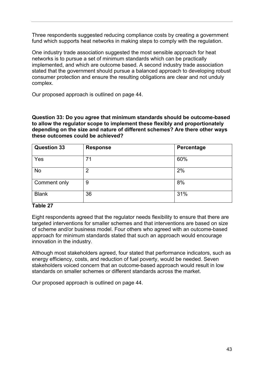Three respondents suggested reducing compliance costs by creating a government fund which supports heat networks in making steps to comply with the regulation.

One industry trade association suggested the most sensible approach for heat networks is to pursue a set of minimum standards which can be practically implemented, and which are outcome based. A second industry trade association stated that the government should pursue a balanced approach to developing robust consumer protection and ensure the resulting obligations are clear and not unduly complex.

Our proposed approach is outlined on page 44.

**Question 33: Do you agree that minimum standards should be outcome-based to allow the regulator scope to implement these flexibly and proportionately depending on the size and nature of different schemes? Are there other ways these outcomes could be achieved?**

| <b>Question 33</b> | <b>Response</b> | Percentage |
|--------------------|-----------------|------------|
| Yes                | 71              | 60%        |
| No                 | 2               | 2%         |
| Comment only       | 9               | 8%         |
| <b>Blank</b>       | 36              | 31%        |

#### **Table 27**

Eight respondents agreed that the regulator needs flexibility to ensure that there are targeted interventions for smaller schemes and that interventions are based on size of scheme and/or business model. Four others who agreed with an outcome-based approach for minimum standards stated that such an approach would encourage innovation in the industry.

Although most stakeholders agreed, four stated that performance indicators, such as energy efficiency, costs, and reduction of fuel poverty, would be needed. Seven stakeholders voiced concern that an outcome-based approach would result in low standards on smaller schemes or different standards across the market.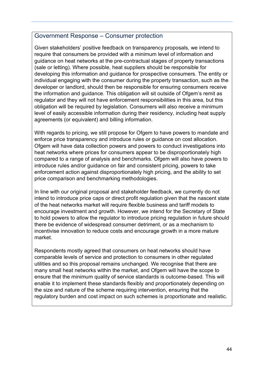#### <span id="page-43-0"></span>Government Response – Consumer protection

Given stakeholders' positive feedback on transparency proposals, we intend to require that consumers be provided with a minimum level of information and guidance on heat networks at the pre-contractual stages of property transactions (sale or letting). Where possible, heat suppliers should be responsible for developing this information and guidance for prospective consumers. The entity or individual engaging with the consumer during the property transaction, such as the developer or landlord, should then be responsible for ensuring consumers receive the information and guidance. This obligation will sit outside of Ofgem's remit as regulator and they will not have enforcement responsibilities in this area, but this obligation will be required by legislation. Consumers will also receive a minimum level of easily accessible information during their residency, including heat supply agreements (or equivalent) and billing information.

With regards to pricing, we still propose for Ofgem to have powers to mandate and enforce price transparency and introduce rules or guidance on cost allocation. Ofgem will have data collection powers and powers to conduct investigations into heat networks where prices for consumers appear to be disproportionately high compared to a range of analysis and benchmarks. Ofgem will also have powers to introduce rules and/or guidance on fair and consistent pricing, powers to take enforcement action against disproportionately high pricing, and the ability to set price comparison and benchmarking methodologies.

In line with our original proposal and stakeholder feedback, we currently do not intend to introduce price caps or direct profit regulation given that the nascent state of the heat networks market will require flexible business and tariff models to encourage investment and growth. However, we intend for the Secretary of State to hold powers to allow the regulator to introduce pricing regulation in future should there be evidence of widespread consumer detriment, or as a mechanism to incentivise innovation to reduce costs and encourage growth in a more mature market.

Respondents mostly agreed that consumers on heat networks should have comparable levels of service and protection to consumers in other regulated utilities and so this proposal remains unchanged. We recognise that there are many small heat networks within the market, and Ofgem will have the scope to ensure that the minimum quality of service standards is outcome-based. This will enable it to implement these standards flexibly and proportionately depending on the size and nature of the scheme requiring intervention, ensuring that the regulatory burden and cost impact on such schemes is proportionate and realistic.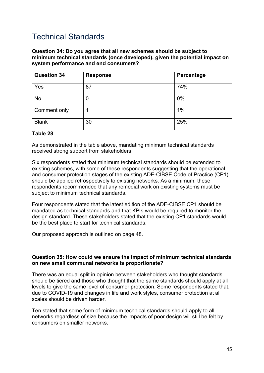## <span id="page-44-0"></span>Technical Standards

**Question 34: Do you agree that all new schemes should be subject to minimum technical standards (once developed), given the potential impact on system performance and end consumers?**

| <b>Question 34</b> | <b>Response</b> | Percentage |
|--------------------|-----------------|------------|
| Yes                | 87              | 74%        |
| No                 | 0               | 0%         |
| Comment only       |                 | 1%         |
| <b>Blank</b>       | 30              | 25%        |

#### **Table 28**

As demonstrated in the table above, mandating minimum technical standards received strong support from stakeholders.

Six respondents stated that minimum technical standards should be extended to existing schemes, with some of these respondents suggesting that the operational and consumer protection stages of the existing ADE-CIBSE Code of Practice (CP1) should be applied retrospectively to existing networks. As a minimum, these respondents recommended that any remedial work on existing systems must be subject to minimum technical standards.

Four respondents stated that the latest edition of the ADE-CIBSE CP1 should be mandated as technical standards and that KPIs would be required to monitor the design standard. These stakeholders stated that the existing CP1 standards would be the best place to start for technical standards.

Our proposed approach is outlined on page 48.

#### **Question 35: How could we ensure the impact of minimum technical standards on new small communal networks is proportionate?**

There was an equal split in opinion between stakeholders who thought standards should be tiered and those who thought that the same standards should apply at all levels to give the same level of consumer protection. Some respondents stated that, due to COVID-19 and changes in life and work styles, consumer protection at all scales should be driven harder.

Ten stated that some form of minimum technical standards should apply to all networks regardless of size because the impacts of poor design will still be felt by consumers on smaller networks.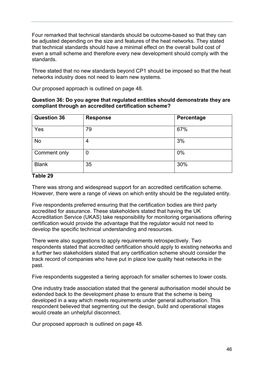Four remarked that technical standards should be outcome-based so that they can be adjusted depending on the size and features of the heat networks. They stated that technical standards should have a minimal effect on the overall build cost of even a small scheme and therefore every new development should comply with the standards.

Three stated that no new standards beyond CP1 should be imposed so that the heat networks industry does not need to learn new systems.

Our proposed approach is outlined on page 48.

#### **Question 36: Do you agree that regulated entities should demonstrate they are compliant through an accredited certification scheme?**

| <b>Question 36</b> | <b>Response</b> | Percentage |
|--------------------|-----------------|------------|
| Yes                | 79              | 67%        |
| No                 | 4               | 3%         |
| Comment only       | 0               | 0%         |
| <b>Blank</b>       | 35              | 30%        |

#### **Table 29**

There was strong and widespread support for an accredited certification scheme. However, there were a range of views on which entity should be the regulated entity.

Five respondents preferred ensuring that the certification bodies are third party accredited for assurance. These stakeholders stated that having the UK Accreditation Service (UKAS) take responsibility for monitoring organisations offering certification would provide the advantage that the regulator would not need to develop the specific technical understanding and resources.

There were also suggestions to apply requirements retrospectively. Two respondents stated that accredited certification should apply to existing networks and a further two stakeholders stated that any certification scheme should consider the track record of companies who have put in place low quality heat networks in the past.

Five respondents suggested a tiering approach for smaller schemes to lower costs.

One industry trade association stated that the general authorisation model should be extended back to the development phase to ensure that the scheme is being developed in a way which meets requirements under general authorisation. This respondent believed that segmenting out the design, build and operational stages would create an unhelpful disconnect.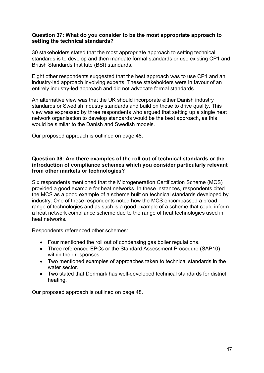#### **Question 37: What do you consider to be the most appropriate approach to setting the technical standards?**

30 stakeholders stated that the most appropriate approach to setting technical standards is to develop and then mandate formal standards or use existing CP1 and British Standards Institute (BSI) standards.

Eight other respondents suggested that the best approach was to use CP1 and an industry-led approach involving experts. These stakeholders were in favour of an entirely industry-led approach and did not advocate formal standards.

An alternative view was that the UK should incorporate either Danish industry standards or Swedish industry standards and build on those to drive quality. This view was expressed by three respondents who argued that setting up a single heat network organisation to develop standards would be the best approach, as this would be similar to the Danish and Swedish models.

Our proposed approach is outlined on page 48.

#### **Question 38: Are there examples of the roll out of technical standards or the introduction of compliance schemes which you consider particularly relevant from other markets or technologies?**

Six respondents mentioned that the Microgeneration Certification Scheme (MCS) provided a good example for heat networks. In these instances, respondents cited the MCS as a good example of a scheme built on technical standards developed by industry. One of these respondents noted how the MCS encompassed a broad range of technologies and as such is a good example of a scheme that could inform a heat network compliance scheme due to the range of heat technologies used in heat networks.

Respondents referenced other schemes:

- Four mentioned the roll out of condensing gas boiler regulations.
- Three referenced EPCs or the Standard Assessment Procedure (SAP10) within their responses.
- Two mentioned examples of approaches taken to technical standards in the water sector.
- Two stated that Denmark has well-developed technical standards for district heating.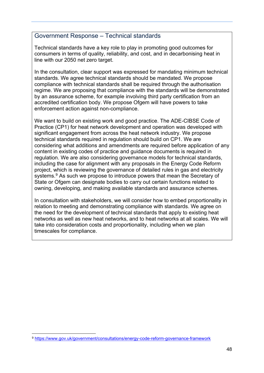#### <span id="page-47-0"></span>Government Response – Technical standards

Technical standards have a key role to play in promoting good outcomes for consumers in terms of quality, reliability, and cost, and in decarbonising heat in line with our 2050 net zero target.

In the consultation, clear support was expressed for mandating minimum technical standards. We agree technical standards should be mandated. We propose compliance with technical standards shall be required through the authorisation regime. We are proposing that compliance with the standards will be demonstrated by an assurance scheme, for example involving third party certification from an accredited certification body. We propose Ofgem will have powers to take enforcement action against non-compliance.

We want to build on existing work and good practice. The ADE-CIBSE Code of Practice (CP1) for heat network development and operation was developed with significant engagement from across the heat network industry. We propose technical standards required in regulation should build on CP1. We are considering what additions and amendments are required before application of any content in existing codes of practice and guidance documents is required in regulation. We are also considering governance models for technical standards, including the case for alignment with any proposals in the Energy Code Reform project, which is reviewing the governance of detailed rules in gas and electricity systems. [9](#page-47-1) As such we propose to introduce powers that mean the Secretary of State or Ofgem can designate bodies to carry out certain functions related to owning, developing, and making available standards and assurance schemes.

In consultation with stakeholders, we will consider how to embed proportionality in relation to meeting and demonstrating compliance with standards. We agree on the need for the development of technical standards that apply to existing heat networks as well as new heat networks, and to heat networks at all scales. We will take into consideration costs and proportionality, including when we plan timescales for compliance.

<span id="page-47-1"></span><sup>9</sup> <https://www.gov.uk/government/consultations/energy-code-reform-governance-framework>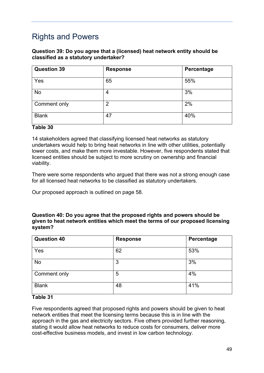## <span id="page-48-0"></span>Rights and Powers

#### **Question 39: Do you agree that a (licensed) heat network entity should be classified as a statutory undertaker?**

| <b>Question 39</b> | <b>Response</b> | Percentage |
|--------------------|-----------------|------------|
| Yes                | 65              | 55%        |
| <b>No</b>          | 4               | 3%         |
| Comment only       | 2               | 2%         |
| <b>Blank</b>       | 47              | 40%        |

#### **Table 30**

14 stakeholders agreed that classifying licensed heat networks as statutory undertakers would help to bring heat networks in line with other utilities, potentially lower costs, and make them more investable. However, five respondents stated that licensed entities should be subject to more scrutiny on ownership and financial viability.

There were some respondents who argued that there was not a strong enough case for all licensed heat networks to be classified as statutory undertakers.

Our proposed approach is outlined on page 58.

#### **Question 40: Do you agree that the proposed rights and powers should be given to heat network entities which meet the terms of our proposed licensing system?**

| <b>Question 40</b> | <b>Response</b> | Percentage |
|--------------------|-----------------|------------|
| Yes                | 62              | 53%        |
| No                 | 3               | 3%         |
| Comment only       | 5               | 4%         |
| <b>Blank</b>       | 48              | 41%        |

#### **Table 31**

Five respondents agreed that proposed rights and powers should be given to heat network entities that meet the licensing terms because this is in line with the approach in the gas and electricity sectors. Five others provided further reasoning, stating it would allow heat networks to reduce costs for consumers, deliver more cost-effective business models, and invest in low carbon technology.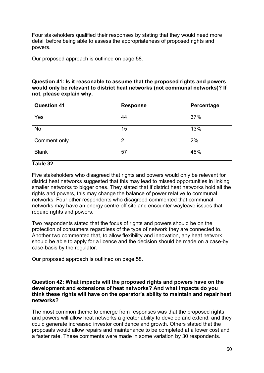Four stakeholders qualified their responses by stating that they would need more detail before being able to assess the appropriateness of proposed rights and powers.

Our proposed approach is outlined on page 58.

#### **Question 41: Is it reasonable to assume that the proposed rights and powers would only be relevant to district heat networks (not communal networks)? If not, please explain why.**

| <b>Question 41</b> | <b>Response</b> | Percentage |
|--------------------|-----------------|------------|
| Yes                | 44              | 37%        |
| No                 | 15              | 13%        |
| Comment only       | $\overline{2}$  | 2%         |
| <b>Blank</b>       | 57              | 48%        |

#### **Table 32**

Five stakeholders who disagreed that rights and powers would only be relevant for district heat networks suggested that this may lead to missed opportunities in linking smaller networks to bigger ones. They stated that if district heat networks hold all the rights and powers, this may change the balance of power relative to communal networks. Four other respondents who disagreed commented that communal networks may have an energy centre off site and encounter wayleave issues that require rights and powers.

Two respondents stated that the focus of rights and powers should be on the protection of consumers regardless of the type of network they are connected to. Another two commented that, to allow flexibility and innovation, any heat network should be able to apply for a licence and the decision should be made on a case-by case-basis by the regulator.

Our proposed approach is outlined on page 58.

#### **Question 42: What impacts will the proposed rights and powers have on the development and extensions of heat networks? And what impacts do you think these rights will have on the operator's ability to maintain and repair heat networks?**

The most common theme to emerge from responses was that the proposed rights and powers will allow heat networks a greater ability to develop and extend, and they could generate increased investor confidence and growth. Others stated that the proposals would allow repairs and maintenance to be completed at a lower cost and a faster rate. These comments were made in some variation by 30 respondents.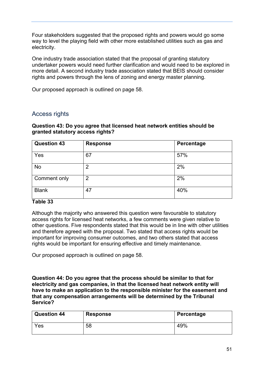Four stakeholders suggested that the proposed rights and powers would go some way to level the playing field with other more established utilities such as gas and electricity.

One industry trade association stated that the proposal of granting statutory undertaker powers would need further clarification and would need to be explored in more detail. A second industry trade association stated that BEIS should consider rights and powers through the lens of zoning and energy master planning.

Our proposed approach is outlined on page 58.

#### Access rights

#### **Question 43: Do you agree that licensed heat network entities should be granted statutory access rights?**

| <b>Question 43</b> | <b>Response</b> | Percentage |
|--------------------|-----------------|------------|
| Yes                | 67              | 57%        |
| No                 | 2               | 2%         |
| Comment only       | 2               | 2%         |
| <b>Blank</b>       | 47              | 40%        |

#### **Table 33**

Although the majority who answered this question were favourable to statutory access rights for licensed heat networks, a few comments were given relative to other questions. Five respondents stated that this would be in line with other utilities and therefore agreed with the proposal. Two stated that access rights would be important for improving consumer outcomes, and two others stated that access rights would be important for ensuring effective and timely maintenance.

Our proposed approach is outlined on page 58.

**Question 44: Do you agree that the process should be similar to that for electricity and gas companies, in that the licensed heat network entity will have to make an application to the responsible minister for the easement and that any compensation arrangements will be determined by the Tribunal Service?**

| <b>Question 44</b> | <b>Response</b> | Percentage |
|--------------------|-----------------|------------|
| Yes                | 58              | 49%        |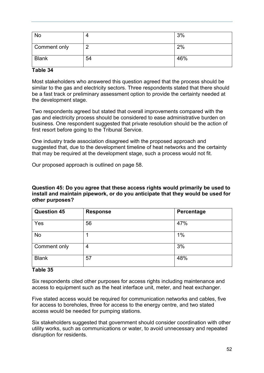| No           | 4  | 3%  |
|--------------|----|-----|
| Comment only | c  | 2%  |
| <b>Blank</b> | 54 | 46% |

#### **Table 34**

Most stakeholders who answered this question agreed that the process should be similar to the gas and electricity sectors. Three respondents stated that there should be a fast track or preliminary assessment option to provide the certainty needed at the development stage.

Two respondents agreed but stated that overall improvements compared with the gas and electricity process should be considered to ease administrative burden on business. One respondent suggested that private resolution should be the action of first resort before going to the Tribunal Service.

One industry trade association disagreed with the proposed approach and suggested that, due to the development timeline of heat networks and the certainty that may be required at the development stage, such a process would not fit.

Our proposed approach is outlined on page 58.

**Question 45: Do you agree that these access rights would primarily be used to install and maintain pipework, or do you anticipate that they would be used for other purposes?**

| <b>Question 45</b> | <b>Response</b> | Percentage |
|--------------------|-----------------|------------|
| Yes                | 56              | 47%        |
| No                 |                 | 1%         |
| Comment only       | 4               | 3%         |
| <b>Blank</b>       | 57              | 48%        |

#### **Table 35**

Six respondents cited other purposes for access rights including maintenance and access to equipment such as the heat interface unit, meter, and heat exchanger.

Five stated access would be required for communication networks and cables, five for access to boreholes, three for access to the energy centre, and two stated access would be needed for pumping stations.

Six stakeholders suggested that government should consider coordination with other utility works, such as communications or water, to avoid unnecessary and repeated disruption for residents.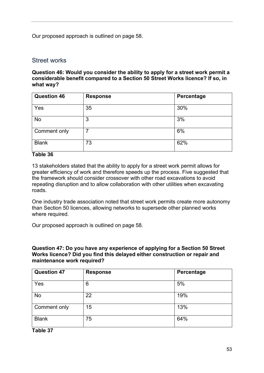Our proposed approach is outlined on page 58.

#### Street works

**Question 46: Would you consider the ability to apply for a street work permit a considerable benefit compared to a Section 50 Street Works licence? If so, in what way?**

| <b>Question 46</b> | <b>Response</b> | Percentage |
|--------------------|-----------------|------------|
| Yes                | 35              | 30%        |
| <b>No</b>          | 3               | 3%         |
| Comment only       | ⇁               | 6%         |
| <b>Blank</b>       | 73              | 62%        |

#### **Table 36**

13 stakeholders stated that the ability to apply for a street work permit allows for greater efficiency of work and therefore speeds up the process. Five suggested that the framework should consider crossover with other road excavations to avoid repeating disruption and to allow collaboration with other utilities when excavating roads.

One industry trade association noted that street work permits create more autonomy than Section 50 licences, allowing networks to supersede other planned works where required.

Our proposed approach is outlined on page 58.

#### **Question 47: Do you have any experience of applying for a Section 50 Street Works licence? Did you find this delayed either construction or repair and maintenance work required?**

| <b>Question 47</b> | <b>Response</b> | Percentage |
|--------------------|-----------------|------------|
| Yes                | 6               | 5%         |
| No                 | 22              | 19%        |
| Comment only       | 15              | 13%        |
| <b>Blank</b>       | 75              | 64%        |

**Table 37**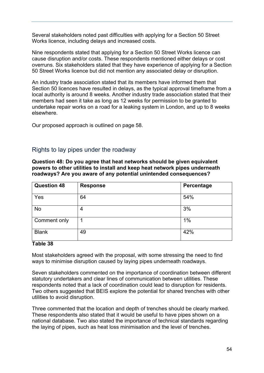Several stakeholders noted past difficulties with applying for a Section 50 Street Works licence, including delays and increased costs.

Nine respondents stated that applying for a Section 50 Street Works licence can cause disruption and/or costs. These respondents mentioned either delays or cost overruns. Six stakeholders stated that they have experience of applying for a Section 50 Street Works licence but did not mention any associated delay or disruption.

An industry trade association stated that its members have informed them that Section 50 licences have resulted in delays, as the typical approval timeframe from a local authority is around 8 weeks. Another industry trade association stated that their members had seen it take as long as 12 weeks for permission to be granted to undertake repair works on a road for a leaking system in London, and up to 8 weeks elsewhere.

Our proposed approach is outlined on page 58.

#### Rights to lay pipes under the roadway

**Question 48: Do you agree that heat networks should be given equivalent powers to other utilities to install and keep heat network pipes underneath roadways? Are you aware of any potential unintended consequences?**

| <b>Question 48</b> | <b>Response</b> | Percentage |
|--------------------|-----------------|------------|
| Yes                | 64              | 54%        |
| No                 | 4               | 3%         |
| Comment only       |                 | $1\%$      |
| <b>Blank</b>       | 49              | 42%        |

#### **Table 38**

Most stakeholders agreed with the proposal, with some stressing the need to find ways to minimise disruption caused by laying pipes underneath roadways.

Seven stakeholders commented on the importance of coordination between different statutory undertakers and clear lines of communication between utilities. These respondents noted that a lack of coordination could lead to disruption for residents. Two others suggested that BEIS explore the potential for shared trenches with other utilities to avoid disruption.

Three commented that the location and depth of trenches should be clearly marked. These respondents also stated that it would be useful to have pipes shown on a national database. Two also stated the importance of technical standards regarding the laying of pipes, such as heat loss minimisation and the level of trenches.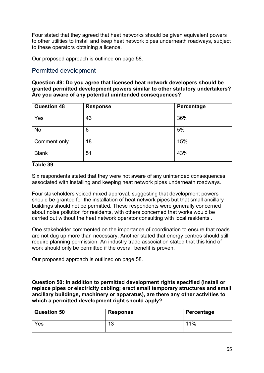Four stated that they agreed that heat networks should be given equivalent powers to other utilities to install and keep heat network pipes underneath roadways, subject to these operators obtaining a licence.

Our proposed approach is outlined on page 58.

#### Permitted development

**Question 49: Do you agree that licensed heat network developers should be granted permitted development powers similar to other statutory undertakers? Are you aware of any potential unintended consequences?**

| <b>Question 48</b> | <b>Response</b> | Percentage |
|--------------------|-----------------|------------|
| Yes                | 43              | 36%        |
| <b>No</b>          | 6               | 5%         |
| Comment only       | 18              | 15%        |
| <b>Blank</b>       | 51              | 43%        |

#### **Table 39**

Six respondents stated that they were not aware of any unintended consequences associated with installing and keeping heat network pipes underneath roadways.

Four stakeholders voiced mixed approval, suggesting that development powers should be granted for the installation of heat network pipes but that small ancillary buildings should not be permitted. These respondents were generally concerned about noise pollution for residents, with others concerned that works would be carried out without the heat network operator consulting with local residents .

One stakeholder commented on the importance of coordination to ensure that roads are not dug up more than necessary. Another stated that energy centres should still require planning permission. An industry trade association stated that this kind of work should only be permitted if the overall benefit is proven.

Our proposed approach is outlined on page 58.

**Question 50: In addition to permitted development rights specified (install or replace pipes or electricity cabling; erect small temporary structures and small ancillary buildings, machinery or apparatus), are there any other activities to which a permitted development right should apply?**

| <b>Question 50</b> | <b>Response</b>           | Percentage |
|--------------------|---------------------------|------------|
| Yes                | $\Lambda$ $\Omega$<br>ں ۔ | 11%        |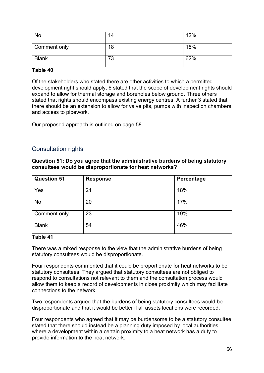| No           | 14 | 12% |
|--------------|----|-----|
| Comment only | 18 | 15% |
| <b>Blank</b> | 73 | 62% |

#### **Table 40**

Of the stakeholders who stated there are other activities to which a permitted development right should apply, 6 stated that the scope of development rights should expand to allow for thermal storage and boreholes below ground. Three others stated that rights should encompass existing energy centres. A further 3 stated that there should be an extension to allow for valve pits, pumps with inspection chambers and access to pipework.

Our proposed approach is outlined on page 58.

#### Consultation rights

#### **Question 51: Do you agree that the administrative burdens of being statutory consultees would be disproportionate for heat networks?**

| <b>Question 51</b> | <b>Response</b> | Percentage |
|--------------------|-----------------|------------|
| Yes                | 21              | 18%        |
| No                 | 20              | 17%        |
| Comment only       | 23              | 19%        |
| <b>Blank</b>       | 54              | 46%        |

#### **Table 41**

There was a mixed response to the view that the administrative burdens of being statutory consultees would be disproportionate.

Four respondents commented that it could be proportionate for heat networks to be statutory consultees. They argued that statutory consultees are not obliged to respond to consultations not relevant to them and the consultation process would allow them to keep a record of developments in close proximity which may facilitate connections to the network.

Two respondents argued that the burdens of being statutory consultees would be disproportionate and that it would be better if all assets locations were recorded.

Four respondents who agreed that it may be burdensome to be a statutory consultee stated that there should instead be a planning duty imposed by local authorities where a development within a certain proximity to a heat network has a duty to provide information to the heat network.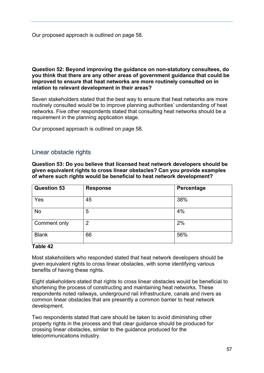Our proposed approach is outlined on page 58.

#### **Question 52: Beyond improving the guidance on non-statutory consultees, do you think that there are any other areas of government guidance that could be improved to ensure that heat networks are more routinely consulted on in relation to relevant development in their areas?**

Seven stakeholders stated that the best way to ensure that heat networks are more routinely consulted would be to improve planning authorities' understanding of heat networks. Five other respondents stated that consulting heat networks should be a requirement in the planning application stage.

Our proposed approach is outlined on page 58.

#### Linear obstacle rights

**Question 53: Do you believe that licensed heat network developers should be given equivalent rights to cross linear obstacles? Can you provide examples of where such rights would be beneficial to heat network development?**

| <b>Question 53</b> | <b>Response</b> | Percentage |
|--------------------|-----------------|------------|
| Yes                | 45              | 38%        |
| <b>No</b>          | 5               | 4%         |
| Comment only       | $\overline{2}$  | 2%         |
| <b>Blank</b>       | 66              | 56%        |

#### **Table 42**

Most stakeholders who responded stated that heat network developers should be given equivalent rights to cross linear obstacles, with some identifying various benefits of having these rights.

Eight stakeholders stated that rights to cross linear obstacles would be beneficial to shortening the process of constructing and maintaining heat networks. These respondents noted railways, underground rail infrastructure, canals and rivers as common linear obstacles that are presently a common barrier to heat network development.

Two respondents stated that care should be taken to avoid diminishing other property rights in the process and that clear guidance should be produced for crossing linear obstacles, similar to the guidance produced for the telecommunications industry.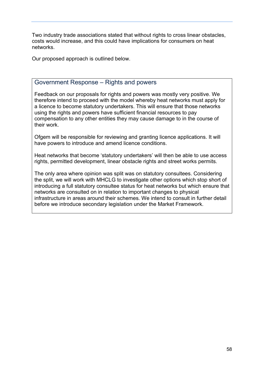Two industry trade associations stated that without rights to cross linear obstacles, costs would increase, and this could have implications for consumers on heat networks.

Our proposed approach is outlined below.

#### <span id="page-57-0"></span>Government Response – Rights and powers

Feedback on our proposals for rights and powers was mostly very positive. We therefore intend to proceed with the model whereby heat networks must apply for a licence to become statutory undertakers. This will ensure that those networks using the rights and powers have sufficient financial resources to pay compensation to any other entities they may cause damage to in the course of their work.

Ofgem will be responsible for reviewing and granting licence applications. It will have powers to introduce and amend licence conditions.

Heat networks that become 'statutory undertakers' will then be able to use access rights, permitted development, linear obstacle rights and street works permits.

The only area where opinion was split was on statutory consultees. Considering the split, we will work with MHCLG to investigate other options which stop short of introducing a full statutory consultee status for heat networks but which ensure that networks are consulted on in relation to important changes to physical infrastructure in areas around their schemes. We intend to consult in further detail before we introduce secondary legislation under the Market Framework.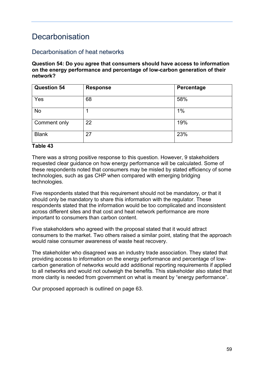### <span id="page-58-0"></span>Decarbonisation

#### Decarbonisation of heat networks

#### **Question 54: Do you agree that consumers should have access to information on the energy performance and percentage of low-carbon generation of their network?**

| <b>Question 54</b> | <b>Response</b> | Percentage |
|--------------------|-----------------|------------|
| Yes                | 68              | 58%        |
| No                 |                 | 1%         |
| Comment only       | 22              | 19%        |
| <b>Blank</b>       | 27              | 23%        |

#### **Table 43**

There was a strong positive response to this question. However, 9 stakeholders requested clear guidance on how energy performance will be calculated. Some of these respondents noted that consumers may be misled by stated efficiency of some technologies, such as gas CHP when compared with emerging bridging technologies.

Five respondents stated that this requirement should not be mandatory, or that it should only be mandatory to share this information with the regulator. These respondents stated that the information would be too complicated and inconsistent across different sites and that cost and heat network performance are more important to consumers than carbon content.

Five stakeholders who agreed with the proposal stated that it would attract consumers to the market. Two others raised a similar point, stating that the approach would raise consumer awareness of waste heat recovery.

The stakeholder who disagreed was an industry trade association. They stated that providing access to information on the energy performance and percentage of lowcarbon generation of networks would add additional reporting requirements if applied to all networks and would not outweigh the benefits. This stakeholder also stated that more clarity is needed from government on what is meant by "energy performance".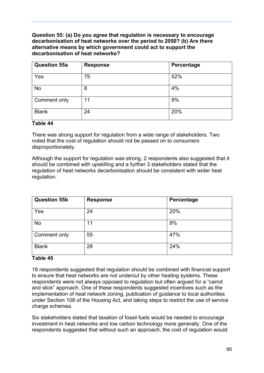**Question 55: (a) Do you agree that regulation is necessary to encourage decarbonisation of heat networks over the period to 2050? (b) Are there alternative means by which government could act to support the decarbonisation of heat networks?**

| <b>Question 55a</b> | <b>Response</b> | Percentage |
|---------------------|-----------------|------------|
| Yes                 | 75              | 52%        |
| <b>No</b>           | 8               | 4%         |
| Comment only        | 11              | 9%         |
| <b>Blank</b>        | 24              | 20%        |

#### **Table 44**

There was strong support for regulation from a wide range of stakeholders. Two noted that the cost of regulation should not be passed on to consumers disproportionately.

Although the support for regulation was strong, 2 respondents also suggested that it should be combined with upskilling and a further 3 stakeholders stated that the regulation of heat networks decarbonisation should be consistent with wider heat regulation.

| <b>Question 55b</b> | <b>Response</b> | Percentage |
|---------------------|-----------------|------------|
| Yes                 | 24              | 20%        |
| No                  | 11              | 9%         |
| Comment only        | 55              | 47%        |
| <b>Blank</b>        | 28              | 24%        |

#### **Table 45**

18 respondents suggested that regulation should be combined with financial support to ensure that heat networks are not undercut by other heating systems. These respondents were not always opposed to regulation but often argued for a "carrot and stick" approach. One of these respondents suggested incentives such as the implementation of heat network zoning, publication of guidance to local authorities under Section 108 of the Housing Act, and taking steps to restrict the use of service charge schemes.

Six stakeholders stated that taxation of fossil fuels would be needed to encourage investment in heat networks and low carbon technology more generally. One of the respondents suggested that without such an approach, the cost of regulation would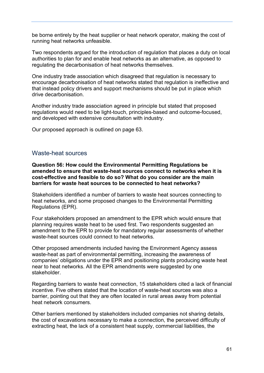be borne entirely by the heat supplier or heat network operator, making the cost of running heat networks unfeasible.

Two respondents argued for the introduction of regulation that places a duty on local authorities to plan for and enable heat networks as an alternative, as opposed to regulating the decarbonisation of heat networks themselves.

One industry trade association which disagreed that regulation is necessary to encourage decarbonisation of heat networks stated that regulation is ineffective and that instead policy drivers and support mechanisms should be put in place which drive decarbonisation.

Another industry trade association agreed in principle but stated that proposed regulations would need to be light-touch, principles-based and outcome-focused, and developed with extensive consultation with industry.

Our proposed approach is outlined on page 63.

#### Waste-heat sources

**Question 56: How could the Environmental Permitting Regulations be amended to ensure that waste-heat sources connect to networks when it is cost-effective and feasible to do so? What do you consider are the main barriers for waste heat sources to be connected to heat networks?**

Stakeholders identified a number of barriers to waste heat sources connecting to heat networks, and some proposed changes to the Environmental Permitting Regulations (EPR).

Four stakeholders proposed an amendment to the EPR which would ensure that planning requires waste heat to be used first. Two respondents suggested an amendment to the EPR to provide for mandatory regular assessments of whether waste-heat sources could connect to heat networks

Other proposed amendments included having the Environment Agency assess waste-heat as part of environmental permitting, increasing the awareness of companies' obligations under the EPR and positioning plants producing waste heat near to heat networks. All the EPR amendments were suggested by one stakeholder.

Regarding barriers to waste heat connection, 15 stakeholders cited a lack of financial incentive. Five others stated that the location of waste-heat sources was also a barrier, pointing out that they are often located in rural areas away from potential heat network consumers.

Other barriers mentioned by stakeholders included companies not sharing details, the cost of excavations necessary to make a connection, the perceived difficulty of extracting heat, the lack of a consistent heat supply, commercial liabilities, the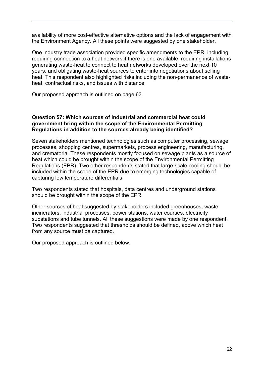availability of more cost-effective alternative options and the lack of engagement with the Environment Agency. All these points were suggested by one stakeholder.

One industry trade association provided specific amendments to the EPR, including requiring connection to a heat network if there is one available, requiring installations generating waste-heat to connect to heat networks developed over the next 10 years, and obligating waste-heat sources to enter into negotiations about selling heat. This respondent also highlighted risks including the non-permanence of wasteheat, contractual risks, and issues with distance.

Our proposed approach is outlined on page 63.

#### **Question 57: Which sources of industrial and commercial heat could government bring within the scope of the Environmental Permitting Regulations in addition to the sources already being identified?**

Seven stakeholders mentioned technologies such as computer processing, sewage processes, shopping centres, supermarkets, process engineering, manufacturing, and crematoria. These respondents mostly focused on sewage plants as a source of heat which could be brought within the scope of the Environmental Permitting Regulations (EPR). Two other respondents stated that large-scale cooling should be included within the scope of the EPR due to emerging technologies capable of capturing low temperature differentials.

Two respondents stated that hospitals, data centres and underground stations should be brought within the scope of the EPR.

Other sources of heat suggested by stakeholders included greenhouses, waste incinerators, industrial processes, power stations, water courses, electricity substations and tube tunnels. All these suggestions were made by one respondent. Two respondents suggested that thresholds should be defined, above which heat from any source must be captured.

Our proposed approach is outlined below.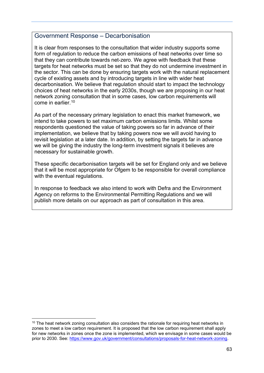#### <span id="page-62-0"></span>Government Response – Decarbonisation

It is clear from responses to the consultation that wider industry supports some form of regulation to reduce the carbon emissions of heat networks over time so that they can contribute towards net-zero. We agree with feedback that these targets for heat networks must be set so that they do not undermine investment in the sector. This can be done by ensuring targets work with the natural replacement cycle of existing assets and by introducing targets in line with wider heat decarbonisation. We believe that regulation should start to impact the technology choices of heat networks in the early 2030s, though we are proposing in our heat network zoning consultation that in some cases, low carbon requirements will come in earlier. [10](#page-62-1)

As part of the necessary primary legislation to enact this market framework, we intend to take powers to set maximum carbon emissions limits. Whilst some respondents questioned the value of taking powers so far in advance of their implementation, we believe that by taking powers now we will avoid having to revisit legislation at a later date. In addition, by setting the targets far in advance we will be giving the industry the long-term investment signals it believes are necessary for sustainable growth.

These specific decarbonisation targets will be set for England only and we believe that it will be most appropriate for Ofgem to be responsible for overall compliance with the eventual regulations.

In response to feedback we also intend to work with Defra and the Environment Agency on reforms to the Environmental Permitting Regulations and we will publish more details on our approach as part of consultation in this area.

<span id="page-62-1"></span><sup>&</sup>lt;sup>10</sup> The heat network zoning consultation also considers the rationale for requiring heat networks in zones to meet a low carbon requirement. It is proposed that the low carbon requirement shall apply for new networks in zones once the zone is implemented, which we envisage in some cases would be prior to 2030. See: [https://www.gov.uk/government/consultations/proposals-for-heat-network-zoning.](https://www.gov.uk/government/consultations/proposals-for-heat-network-zoning)